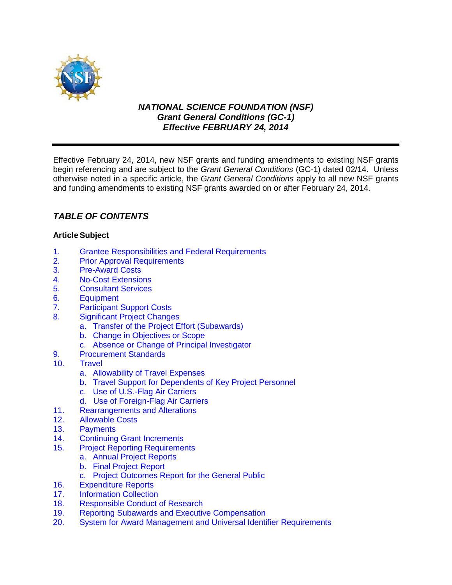

# *NATIONAL SCIENCE FOUNDATION (NSF) Grant General Conditions (GC-1) Effective FEBRUARY 24, 2014*

Effective February 24, 2014, new NSF grants and funding amendments to existing NSF grants begin referencing and are subject to the *Grant General Conditions* (GC-1) dated 02/14. Unless otherwise noted in a specific article, the *Grant General Conditions* apply to all new NSF grants and funding amendments to existing NSF grants awarded on or after February 24, 2014.

# *TABLE OF CONTENTS*

# **ArticleSubject**

- 1. [Grantee Responsibilities and Federal Requirements](#page-1-0)<br>2. Prior Approval Requirements
- **[Prior Approval Requirements](#page-2-0)**
- 3. [Pre-Award Costs](#page-3-0)
- 4. [No-Cost Extensions](#page-3-1)
- 5. [Consultant Services](#page-4-0)
- 6. [Equipment](#page-4-1)
- 7. [Participant Support Costs](#page-6-0)
- 8. [Significant Project Changes](#page-6-1)
	- a. [Transfer of the Project Effort \(Subawards\)](#page-6-2)
	- b. [Change in Objectives or Scope](#page-7-0)
	- c. [Absence or Change of Principal Investigator](#page-7-1)
- 9. [Procurement Standards](#page-7-2)<br>10. Travel
- **[Travel](#page-7-3)** 
	- a. [Allowability of Travel Expenses](#page-7-4)
	- b. [Travel Support for Dependents of Key Project Personnel](#page-7-5)
	- c. [Use of U.S.-Flag Air Carriers](#page-8-0)
	- d. Use of Foreign-Flag Air Carriers
- 11. [Rearrangements and Alterations](#page-10-0)<br>12. Allowable Costs
- 12. [Allowable Costs](#page-10-1)<br>13. Payments
- 13. [Payments](#page-11-0)<br>14. Continuino
- **Continuing Grant Increments**
- 15. [Project Reporting Requirements](#page-11-1)
	- a. [Annual Project Reports](#page-11-2)
		- b. [Final Project Report](#page-12-0)
	- c. [Project Outcomes Report for](#page-12-2) the General Public
- 16. [Expenditure Reports](#page-12-1)
- 17. [Information Collection](#page-13-0)<br>18. Responsible Conduct
- [Responsible Conduct of Research](#page-13-1)
- 19. [Reporting Subawards and Executive Compensation](#page-13-1)
- 20. System for Award Management [and Universal Identifier Requirements](#page-17-0)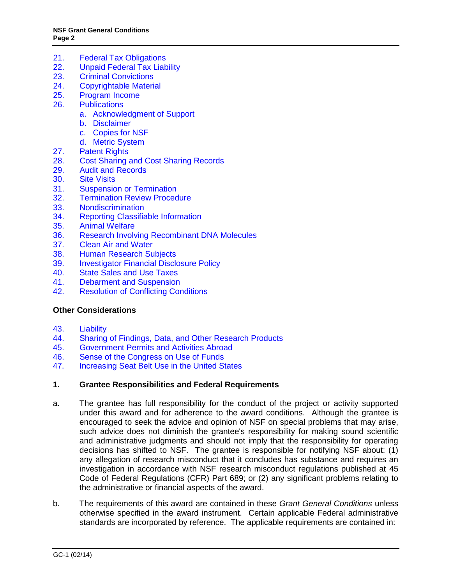- 21. [Federal Tax Obligations](#page-18-0)<br>22. Unpaid Federal Tax Liab
- **[Unpaid Federal Tax Liability](#page-19-1)**
- 23. [Criminal Convictions](#page-19-1)
- 24. [Copyrightable Material](#page-19-0)
- 25. [Program Income](#page-20-0)
- 26. [Publications](#page-21-0)
	- a. [Acknowledgment of Support](#page-21-1)
	- b. [Disclaimer](#page-21-2)
	- c. [Copies for NSF](#page-21-3)
	- d. [Metric System](#page-21-4)
- 27. [Patent Rights](#page-22-0)
- 28. [Cost Sharing and Cost Sharing Records](#page-27-0)
- 29. [Audit and Records](#page-28-0)
- 30. [Site Visits](#page-29-0)
- 31. [Suspension or Termination](#page-29-1)
- 32. [Termination Review Procedure](#page-30-0)<br>33. Nondiscrimination
- 33. [Nondiscrimination](#page-31-0)<br>34. Reporting Classifia
- **[Reporting Classifiable Information](#page-31-1)**
- 35. [Animal Welfare](#page-31-2)
- 36. [Research Involving Recombinant DNA Molecules](#page-32-0)
- 37. [Clean Air and Water](#page-32-1)<br>38. Human Research Su
- **Human [Research Subjects](#page-33-0)**
- 39. [Investigator Financial Disclosure Policy](#page-33-1)<br>40. State Sales and Use Taxes
- **[State Sales and Use Taxes](#page-33-2)**
- 41. [Debarment and Suspension](#page-33-3)
- 42. [Resolution of Conflicting Conditions](#page-33-4)

# **[Other Considerations](#page-33-5)**

- 43. [Liability](#page-33-6)<br>44. Sharing
- 44. [Sharing of Findings, Data, and Other Research Products](#page-34-0)<br>45. Government Permits and Activities Abroad
- 45. [Government Permits and Activities Abroad](#page-34-1)
- 
- 46. [Sense of the Congress on Use of Funds](#page-34-2)<br>47. Increasing Seat Belt Use in the United St [Increasing Seat Belt Use in the United States](#page-34-3)

#### <span id="page-1-0"></span>**1. Grantee Responsibilities and Federal Requirements**

- a. The grantee has full responsibility for the conduct of the project or activity supported under this award and for adherence to the award conditions. Although the grantee is encouraged to seek the advice and opinion of NSF on special problems that may arise, such advice does not diminish the grantee's responsibility for making sound scientific and administrative judgments and should not imply that the responsibility for operating decisions has shifted to NSF. The grantee is responsible for notifying NSF about: (1) any allegation of research misconduct that it concludes has substance and requires an investigation in accordance with NSF research misconduct regulations published at [45](http://www.access.gpo.gov/nara/cfr/waisidx_06/45cfr689_06.html)  [Code of Federal Regulations \(CFR\) Part 689;](http://www.access.gpo.gov/nara/cfr/waisidx_06/45cfr689_06.html) or (2) any significant problems relating to the administrative or financial aspects of the award.
- b. The requirements of this award are contained in these *Grant General Conditions* unless otherwise specified in the award instrument. Certain applicable Federal administrative standards are incorporated by reference. The applicable requirements are contained in: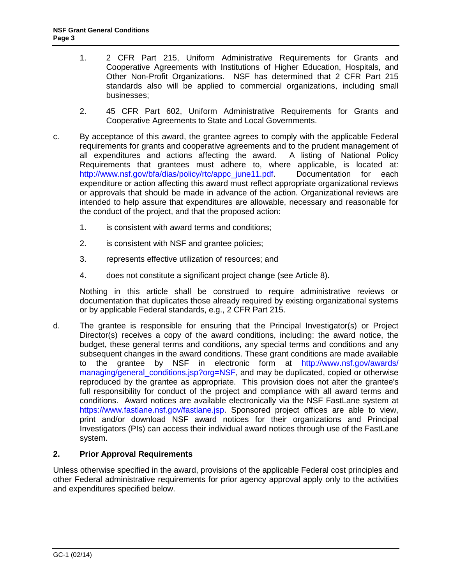- 1. [2 CFR Part 215,](http://www.access.gpo.gov/nara/cfr/waisidx_07/2cfr215_07.html) Uniform Administrative Requirements for Grants and Cooperative Agreements with Institutions of Higher Education, Hospitals, and Other Non-Profit Organizations. NSF has determined that 2 CFR Part 215 standards also will be applied to commercial organizations, including small businesses;
- 2. [45 CFR Part 602,](http://www.access.gpo.gov/nara/cfr/waisidx_06/45cfr602_06.html) Uniform Administrative Requirements for Grants and Cooperative Agreements to State and Local Governments.
- c. By acceptance of this award, the grantee agrees to comply with the applicable Federal requirements for grants and cooperative agreements and to the prudent management of all expenditures and actions affecting the award. A listing of National Policy all expenditures and actions affecting the award. Requirements that grantees must adhere to, where applicable, is located at: [http://www.nsf.gov/bfa/dias/policy/rtc/appc\\_june11.pdf.](http://www.nsf.gov/bfa/dias/policy/rtc/appc_june11.pdf) Documentation for each expenditure or action affecting this award must reflect appropriate organizational reviews or approvals that should be made in advance of the action. Organizational reviews are intended to help assure that expenditures are allowable, necessary and reasonable for the conduct of the project, and that the proposed action:
	- 1. is consistent with award terms and conditions;
	- 2. is consistent with NSF and grantee policies;
	- 3. represents effective utilization of resources; and
	- 4. does not constitute a significant project change (see [Article 8\)](#page-6-1).

Nothing in this article shall be construed to require administrative reviews or documentation that duplicates those already required by existing organizational systems or by applicable Federal standards, e.g., [2 CFR Part 215.](http://www.access.gpo.gov/nara/cfr/waisidx_07/2cfr215_07.html)

d. The grantee is responsible for ensuring that the Principal Investigator(s) or Project Director(s) receives a copy of the award conditions, including: the award notice, the budget, these general terms and conditions, any special terms and conditions and any subsequent changes in the award conditions. These grant conditions are made available to the grantee by NSF in electronic form at [http://www.nsf.gov/awards/](http://www.nsf.gov/awards/managing/general_conditions.jsp?org=NSF)  [managing/general\\_conditions.jsp?org=NSF,](http://www.nsf.gov/awards/managing/general_conditions.jsp?org=NSF) and may be duplicated, copied or otherwise reproduced by the grantee as appropriate. This provision does not alter the grantee's full responsibility for conduct of the project and compliance with all award terms and conditions. Award notices are available electronically via the NSF FastLane system at [https://www.fastlane.nsf.gov/fastlane.jsp.](https://www.fastlane.nsf.gov/fastlane.jsp) Sponsored project offices are able to view, print and/or download NSF award notices for their organizations and Principal Investigators (PIs) can access their individual award notices through use of the FastLane system.

# <span id="page-2-0"></span>**2. Prior Approval Requirements**

Unless otherwise specified in the award, provisions of the applicable Federal cost principles and other Federal administrative requirements for prior agency approval apply only to the activities and expenditures specified below.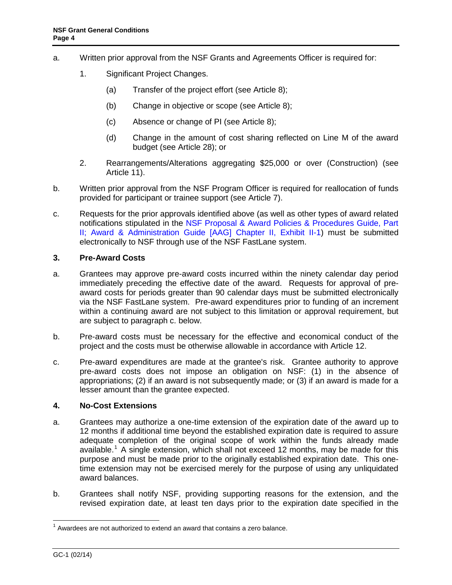- a. Written prior approval from the NSF Grants and Agreements Officer is required for:
	- 1. Significant Project Changes.
		- (a) Transfer of the project effort (see [Article 8\)](#page-6-1);
		- (b) Change in objective or scope (see [Article 8\)](#page-6-1);
		- (c) Absence or change of PI (see [Article 8\)](#page-6-1);
		- (d) Change in the amount of cost sharing reflected on Line M of the award budget (see [Article 2](#page-27-0)8); or
	- 2. Rearrangements/Alterations aggregating \$25,000 or over (Construction) (see [Article 11\)](#page-10-0).
- b. Written prior approval from the NSF Program Officer is required for reallocation of funds provided for participant or trainee support (see [Article 7\)](#page-6-0).
- c. Requests for the prior approvals identified above (as well as other types of award related notifications stipulated in the NSF Proposal & Award Policies & Procedures Guide, Part [II; Award & Administration Guide \[AAG\] Chapter II, Exhibit II-1\)](http://www.nsf.gov/pubs/policydocs/pappguide/nsf14001/aag_2ex1.pdf) must be submitted electronically to NSF through use of the NSF FastLane system.

# <span id="page-3-0"></span>**3. Pre-Award Costs**

- a. Grantees may approve pre-award costs incurred within the ninety calendar day period immediately preceding the effective date of the award. Requests for approval of preaward costs for periods greater than 90 calendar days must be submitted electronically via the NSF FastLane system. Pre-award expenditures prior to funding of an increment within a continuing award are not subject to this limitation or approval requirement, but are subject to paragraph c. below.
- b. Pre-award costs must be necessary for the effective and economical conduct of the project and the costs must be otherwise allowable in accordance with [Article 12.](#page-10-1)
- c. Pre-award expenditures are made at the grantee's risk. Grantee authority to approve pre-award costs does not impose an obligation on NSF: (1) in the absence of appropriations; (2) if an award is not subsequently made; or (3) if an award is made for a lesser amount than the grantee expected.

#### <span id="page-3-1"></span>**4. No-Cost Extensions**

- a. Grantees may authorize a one-time extension of the expiration date of the award up to 12 months if additional time beyond the established expiration date is required to assure adequate completion of the original scope of work within the funds already made available.<sup>[1](#page-3-2)</sup> A single extension, which shall not exceed 12 months, may be made for this purpose and must be made prior to the originally established expiration date. This onetime extension may not be exercised merely for the purpose of using any unliquidated award balances.
- b. Grantees shall notify NSF, providing supporting reasons for the extension, and the revised expiration date, at least ten days prior to the expiration date specified in the

<span id="page-3-2"></span> $1$  Awardees are not authorized to extend an award that contains a zero balance.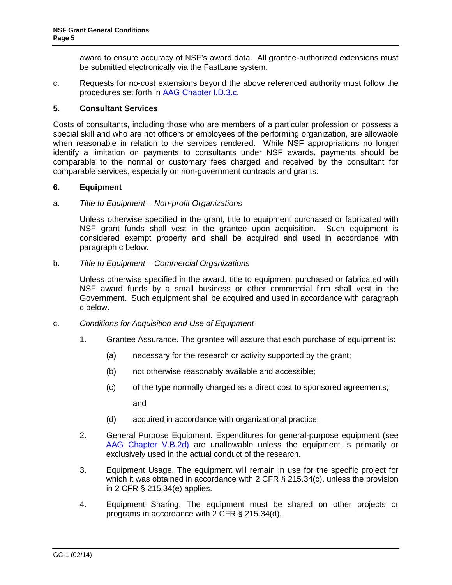award to ensure accuracy of NSF's award data. All grantee-authorized extensions must be submitted electronically via the FastLane system.

c. Requests for no-cost extensions beyond the above referenced authority must follow the procedures set forth in [AAG Chapter I.D.3.c.](http://www.nsf.gov/pubs/policydocs/pappguide/nsf14001/aag_1.jsp#ID3c)

### <span id="page-4-0"></span>**5. Consultant Services**

Costs of consultants, including those who are members of a particular profession or possess a special skill and who are not officers or employees of the performing organization, are allowable when reasonable in relation to the services rendered. While NSF appropriations no longer identify a limitation on payments to consultants under NSF awards, payments should be comparable to the normal or customary fees charged and received by the consultant for comparable services, especially on non-government contracts and grants.

### <span id="page-4-1"></span>**6. Equipment**

#### a. *Title to Equipment – Non-profit Organizations*

Unless otherwise specified in the grant, title to equipment purchased or fabricated with NSF grant funds shall vest in the grantee upon acquisition. Such equipment is considered exempt property and shall be acquired and used in accordance with [paragraph c](#page-4-2) below.

### b. *Title to Equipment – Commercial Organizations*

Unless otherwise specified in the award, title to equipment purchased or fabricated with NSF award funds by a small business or other commercial firm shall vest in the Government. Such equipment shall be acquired and used in accordance with [paragraph](#page-4-2)  [c](#page-4-2) below.

- <span id="page-4-2"></span>c. *Conditions for Acquisition and Use of Equipment*
	- 1. Grantee Assurance. The grantee will assure that each purchase of equipment is:
		- (a) necessary for the research or activity supported by the grant;
		- (b) not otherwise reasonably available and accessible;
		- (c) of the type normally charged as a direct cost to sponsored agreements;

and

- (d) acquired in accordance with organizational practice.
- 2. General Purpose Equipment. Expenditures for general-purpose equipment (see [AAG Chapter V.B.2d\)](http://www.nsf.gov/pubs/policydocs/pappguide/nsf14001/aag_5.jsp#VB2d) are unallowable unless the equipment is primarily or exclusively used in the actual conduct of the research.
- 3. Equipment Usage. The equipment will remain in use for the specific project for which it was obtained in accordance with [2 CFR § 215.34\(c\),](http://a257.g.akamaitech.net/7/257/2422/15mar20071500/edocket.access.gpo.gov/cfr_2007/janqtr/pdf/2cfr215.34.pdf) unless the provision in [2 CFR § 215.34\(e\)](http://a257.g.akamaitech.net/7/257/2422/15mar20071500/edocket.access.gpo.gov/cfr_2007/janqtr/pdf/2cfr215.34.pdf) applies.
- 4. Equipment Sharing. The equipment must be shared on other projects or programs in accordance with [2 CFR § 215.34\(d\).](http://a257.g.akamaitech.net/7/257/2422/15mar20071500/edocket.access.gpo.gov/cfr_2007/janqtr/pdf/2cfr215.34.pdf)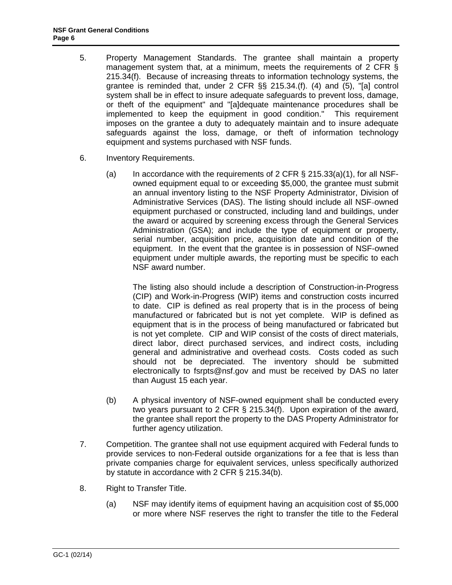- 5. Property Management Standards. The grantee shall maintain a property management system that, at a minimum, meets the requirements of [2 CFR §](http://a257.g.akamaitech.net/7/257/2422/15mar20071500/edocket.access.gpo.gov/cfr_2007/janqtr/pdf/2cfr215.34.pdf)  [215.34\(f\).](http://a257.g.akamaitech.net/7/257/2422/15mar20071500/edocket.access.gpo.gov/cfr_2007/janqtr/pdf/2cfr215.34.pdf) Because of increasing threats to information technology systems, the grantee is reminded that, under [2 CFR §§ 215.34.\(f\). \(4\) and \(5\)](http://a257.g.akamaitech.net/7/257/2422/15mar20071500/edocket.access.gpo.gov/cfr_2007/janqtr/pdf/2cfr215.34.pdf), "[a] control system shall be in effect to insure adequate safeguards to prevent loss, damage, or theft of the equipment" and "[a]dequate maintenance procedures shall be implemented to keep the equipment in good condition." This requirement imposes on the grantee a duty to adequately maintain and to insure adequate safeguards against the loss, damage, or theft of information technology equipment and systems purchased with NSF funds.
- 6. Inventory Requirements.
	- (a) In accordance with the requirements of 2 CFR  $\S$  215.33(a)(1), for all NSFowned equipment equal to or exceeding \$5,000, the grantee must submit an annual inventory listing to the NSF Property Administrator, Division of Administrative Services (DAS). The listing should include all NSF-owned equipment purchased or constructed, including land and buildings, under the award or acquired by screening excess through the General Services Administration (GSA); and include the type of equipment or property, serial number, acquisition price, acquisition date and condition of the equipment. In the event that the grantee is in possession of NSF-owned equipment under multiple awards, the reporting must be specific to each NSF award number.

The listing also should include a description of Construction-in-Progress (CIP) and Work-in-Progress (WIP) items and construction costs incurred to date. CIP is defined as real property that is in the process of being manufactured or fabricated but is not yet complete. WIP is defined as equipment that is in the process of being manufactured or fabricated but is not yet complete. CIP and WIP consist of the costs of direct materials, direct labor, direct purchased services, and indirect costs, including general and administrative and overhead costs. Costs coded as such should not be depreciated. The inventory should be submitted electronically to [fsrpts@nsf.gov](mailto:fsrpts@nsf.gov) and must be received by DAS no later than August 15 each year.

- (b) A physical inventory of NSF-owned equipment shall be conducted every two years pursuant to [2 CFR § 215.34\(f\).](http://a257.g.akamaitech.net/7/257/2422/15mar20071500/edocket.access.gpo.gov/cfr_2007/janqtr/pdf/2cfr215.34.pdf) Upon expiration of the award, the grantee shall report the property to the DAS Property Administrator for further agency utilization.
- 7. Competition. The grantee shall not use equipment acquired with Federal funds to provide services to non-Federal outside organizations for a fee that is less than private companies charge for equivalent services, unless specifically authorized by statute in accordance with [2 CFR § 215.34\(b\).](http://a257.g.akamaitech.net/7/257/2422/15mar20071500/edocket.access.gpo.gov/cfr_2007/janqtr/pdf/2cfr215.34.pdf)
- 8. Right to Transfer Title.
	- (a) NSF may identify items of equipment having an acquisition cost of \$5,000 or more where NSF reserves the right to transfer the title to the Federal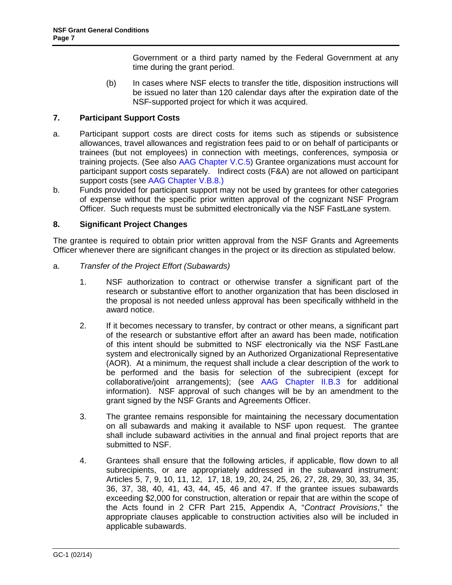Government or a third party named by the Federal Government at any time during the grant period.

(b) In cases where NSF elects to transfer the title, disposition instructions will be issued no later than 120 calendar days after the expiration date of the NSF-supported project for which it was acquired.

# <span id="page-6-0"></span>**7. Participant Support Costs**

- a. Participant support costs are direct costs for items such as stipends or subsistence allowances, travel allowances and registration fees paid to or on behalf of participants or trainees (but not employees) in connection with meetings, conferences, symposia or training projects. (See also [AAG Chapter V.C.5\)](http://www.nsf.gov/pubs/policydocs/pappguide/nsf14001/aag_5.jsp#VC5) Grantee organizations must account for participant support costs separately. Indirect costs (F&A) are not allowed on participant support costs (see [AAG Chapter V.B.](http://www.nsf.gov/pubs/policydocs/pappguide/nsf14001/aag_5.jsp#VD1b)8.)
- b. Funds provided for participant support may not be used by grantees for other categories of expense without the specific prior written approval of the cognizant NSF Program Officer. Such requests must be submitted electronically via the NSF FastLane system.

# <span id="page-6-1"></span>**8. Significant Project Changes**

The grantee is required to obtain prior written approval from the NSF Grants and Agreements Officer whenever there are significant changes in the project or its direction as stipulated below.

- <span id="page-6-2"></span>a. *Transfer of the Project Effort (Subawards)*
	- 1. NSF authorization to contract or otherwise transfer a significant part of the research or substantive effort to another organization that has been disclosed in the proposal is not needed unless approval has been specifically withheld in the award notice.
	- 2. If it becomes necessary to transfer, by contract or other means, a significant part of the research or substantive effort after an award has been made, notification of this intent should be submitted to NSF electronically via the NSF FastLane system and electronically signed by an Authorized Organizational Representative (AOR). At a minimum, the request shall include a clear description of the work to be performed and the basis for selection of the subrecipient (except for collaborative/joint arrangements); (see [AAG Chapter II.B.3](http://www.nsf.gov/pubs/policydocs/pappguide/nsf14001/aag_2.jsp#IIB3) for additional information). NSF approval of such changes will be by an amendment to the grant signed by the NSF Grants and Agreements Officer.
	- 3. The grantee remains responsible for maintaining the necessary documentation on all subawards and making it available to NSF upon request. The grantee shall include subaward activities in the annual and final project reports that are submitted to NSF.
	- 4. Grantees shall ensure that the following articles, if applicable, flow down to all subrecipients, or are appropriately addressed in the subaward instrument: Articles 5, 7, 9, 10, 11, 12, 17, 18, 19, 20, 24, 25, 26, 27, 28, 29, 30, 33, 34, 35, 36, 37, 38, 40, 41, 43, 44, 45, 46 and 47. If the grantee issues subawards exceeding \$2,000 for construction, alteration or repair that are within the scope of the Acts found in 2 [CFR Part 215, Appendix A, "](http://www.access.gpo.gov/nara/cfr/waisidx_07/2cfr215_07.html)*Contract Provisions*," the appropriate clauses applicable to construction activities also will be included in applicable subawards.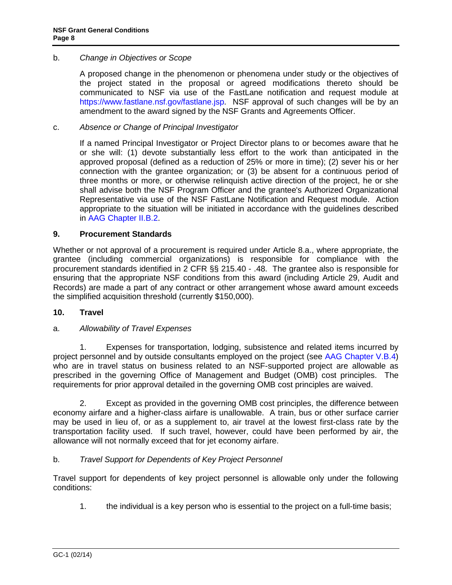# <span id="page-7-0"></span>b. *Change in Objectives or Scope*

A proposed change in the phenomenon or phenomena under study or the objectives of the project stated in the proposal or agreed modifications thereto should be communicated to NSF via use of the FastLane notification and request module at [https://www.fastlane.nsf.gov/fastlane.jsp.](https://www.fastlane.nsf.gov/fastlane.jsp) NSF approval of such changes will be by an amendment to the award signed by the NSF Grants and Agreements Officer.

### <span id="page-7-1"></span>c. *Absence or Change of Principal Investigator*

If a named Principal Investigator or Project Director plans to or becomes aware that he or she will: (1) devote substantially less effort to the work than anticipated in the approved proposal (defined as a reduction of 25% or more in time); (2) sever his or her connection with the grantee organization; or (3) be absent for a continuous period of three months or more, or otherwise relinquish active direction of the project, he or she shall advise both the NSF Program Officer and the grantee's Authorized Organizational Representative via use of the NSF FastLane Notification and Request module. Action appropriate to the situation will be initiated in accordance with the guidelines described in [AAG Chapter II.B.2.](http://www.nsf.gov/pubs/policydocs/pappguide/nsf14001/aag_2.jsp#IIB2)

### <span id="page-7-2"></span>**9. Procurement Standards**

Whether or not approval of a procurement is required under [Article 8.a.](#page-6-2), where appropriate, the grantee (including commercial organizations) is responsible for compliance with the procurement standards identified in [2 CFR §§ 215.40 -](http://www.access.gpo.gov/nara/cfr/waisidx_07/2cfr215_07.html) .48. The grantee also is responsible for ensuring that the appropriate NSF conditions from this award (including [Article 29](#page-28-0), Audit and Records) are made a part of any contract or other arrangement whose award amount exceeds the simplified acquisition threshold (currently \$150,000).

#### <span id="page-7-3"></span>**10. Travel**

# <span id="page-7-4"></span>a. *Allowability of Travel Expenses*

1. Expenses for transportation, lodging, subsistence and related items incurred by project personnel and by outside consultants employed on the project (see [AAG Chapter V.B.4\)](http://www.nsf.gov/pubs/policydocs/pappguide/nsf14001/aag_5.jsp#VB4) who are in travel status on business related to an NSF-supported project are allowable as prescribed in the governing Office of Management and Budget (OMB) cost principles. The requirements for prior approval detailed in the governing OMB cost principles are waived.

2. Except as provided in the governing OMB cost principles, the difference between economy airfare and a higher-class airfare is unallowable. A train, bus or other surface carrier may be used in lieu of, or as a supplement to, air travel at the lowest first-class rate by the transportation facility used. If such travel, however, could have been performed by air, the allowance will not normally exceed that for jet economy airfare.

# <span id="page-7-5"></span>b. *Travel Support for Dependents of Key Project Personnel*

Travel support for dependents of key project personnel is allowable only under the following conditions:

1. the individual is a key person who is essential to the project on a full-time basis;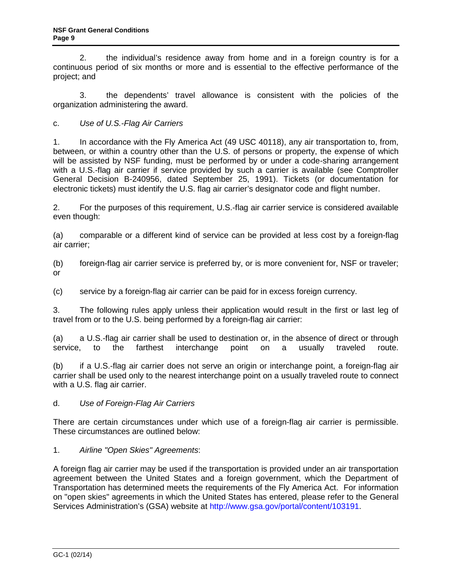2. the individual's residence away from home and in a foreign country is for a continuous period of six months or more and is essential to the effective performance of the project; and

3. the dependents' travel allowance is consistent with the policies of the organization administering the award.

<span id="page-8-0"></span>c. *Use of U.S.-Flag Air Carriers*

1. In accordance with the Fly America Act (49 USC 40118), any air transportation to, from, between, or within a country other than the U.S. of persons or property, the expense of which will be assisted by NSF funding, must be performed by or under a code-sharing arrangement with a U.S.-flag air carrier if service provided by such a carrier is available (see Comptroller General Decision B-240956, dated September 25, 1991). Tickets (or documentation for electronic tickets) must identify the U.S. flag air carrier's designator code and flight number.

2. For the purposes of this requirement, U.S.-flag air carrier service is considered available even though:

(a) comparable or a different kind of service can be provided at less cost by a foreign-flag air carrier;

(b) foreign-flag air carrier service is preferred by, or is more convenient for, NSF or traveler; or

(c) service by a foreign-flag air carrier can be paid for in excess foreign currency.

3. The following rules apply unless their application would result in the first or last leg of travel from or to the U.S. being performed by a foreign-flag air carrier:

(a) a U.S.-flag air carrier shall be used to destination or, in the absence of direct or through service, to the farthest interchange point on a usually traveled route.

(b) if a U.S.-flag air carrier does not serve an origin or interchange point, a foreign-flag air carrier shall be used only to the nearest interchange point on a usually traveled route to connect with a U.S. flag air carrier.

# d. *Use of Foreign-Flag Air Carriers*

There are certain circumstances under which use of a foreign-flag air carrier is permissible. These circumstances are outlined below:

# 1. *Airline "Open Skies" Agreements*:

A foreign flag air carrier may be used if the transportation is provided under an air transportation agreement between the United States and a foreign government, which the Department of Transportation has determined meets the requirements of the Fly America Act. For information on "open skies" agreements in which the United States has entered, please refer to the General Services Administration's (GSA) website at [http://www.gsa.gov/portal/content/103191.](http://www.gsa.gov/portal/content/103191)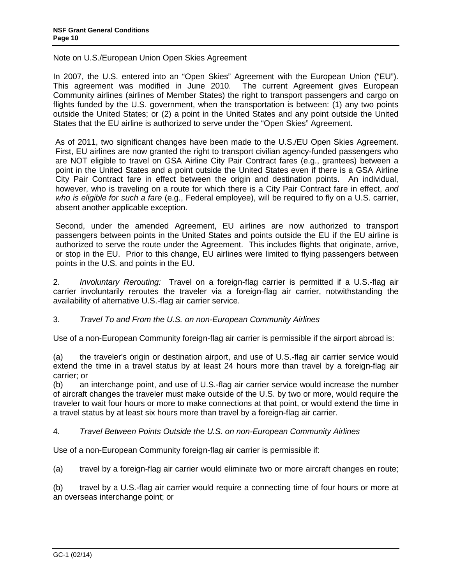Note on U.S./European Union Open Skies Agreement

In 2007, the U.S. entered into an "Open Skies" Agreement with the European Union ("EU"). This agreement was modified in June 2010. The current Agreement gives European Community airlines (airlines of Member States) the right to transport passengers and cargo on flights funded by the U.S. government, when the transportation is between: (1) any two points outside the United States; or (2) a point in the United States and any point outside the United States that the EU airline is authorized to serve under the "Open Skies" Agreement.

As of 2011, two significant changes have been made to the U.S./EU Open Skies Agreement. First, EU airlines are now granted the right to transport civilian agency-funded passengers who are NOT eligible to travel on GSA Airline City Pair Contract fares (e.g., grantees) between a point in the United States and a point outside the United States even if there is a GSA Airline City Pair Contract fare in effect between the origin and destination points. An individual, however, who is traveling on a route for which there is a City Pair Contract fare in effect, *and who is eligible for such a fare* (e.g., Federal employee), will be required to fly on a U.S. carrier, absent another applicable exception.

Second, under the amended Agreement, EU airlines are now authorized to transport passengers between points in the United States and points outside the EU if the EU airline is authorized to serve the route under the Agreement. This includes flights that originate, arrive, or stop in the EU. Prior to this change, EU airlines were limited to flying passengers between points in the U.S. and points in the EU.

2. *Involuntary Rerouting:* Travel on a foreign-flag carrier is permitted if a U.S.-flag air carrier involuntarily reroutes the traveler via a foreign-flag air carrier, notwithstanding the availability of alternative U.S.-flag air carrier service.

# 3. *Travel To and From the U.S. on non-European Community Airlines*

Use of a non-European Community foreign-flag air carrier is permissible if the airport abroad is:

(a) the traveler's origin or destination airport, and use of U.S.-flag air carrier service would extend the time in a travel status by at least 24 hours more than travel by a foreign-flag air carrier; or

(b) an interchange point, and use of U.S.-flag air carrier service would increase the number of aircraft changes the traveler must make outside of the U.S. by two or more, would require the traveler to wait four hours or more to make connections at that point, or would extend the time in a travel status by at least six hours more than travel by a foreign-flag air carrier.

# 4. *Travel Between Points Outside the U.S. on non-European Community Airlines*

Use of a non-European Community foreign-flag air carrier is permissible if:

(a) travel by a foreign-flag air carrier would eliminate two or more aircraft changes en route;

(b) travel by a U.S.-flag air carrier would require a connecting time of four hours or more at an overseas interchange point; or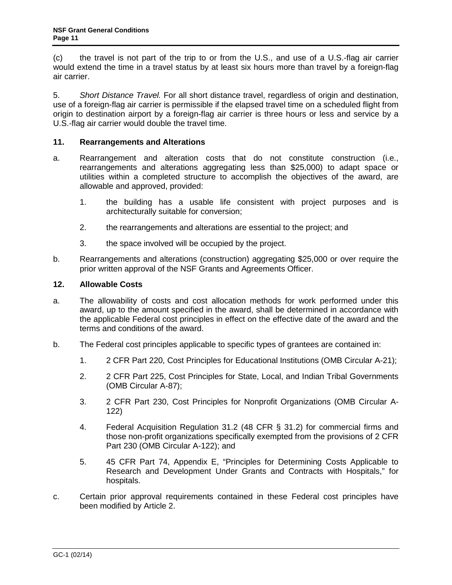(c) the travel is not part of the trip to or from the U.S., and use of a U.S.-flag air carrier would extend the time in a travel status by at least six hours more than travel by a foreign-flag air carrier.

5. *Short Distance Travel.* For all short distance travel, regardless of origin and destination, use of a foreign-flag air carrier is permissible if the elapsed travel time on a scheduled flight from origin to destination airport by a foreign-flag air carrier is three hours or less and service by a U.S.-flag air carrier would double the travel time.

### <span id="page-10-0"></span>**11. Rearrangements and Alterations**

- a. Rearrangement and alteration costs that do not constitute construction (i.e., rearrangements and alterations aggregating less than \$25,000) to adapt space or utilities within a completed structure to accomplish the objectives of the award, are allowable and approved, provided:
	- 1. the building has a usable life consistent with project purposes and is architecturally suitable for conversion;
	- 2. the rearrangements and alterations are essential to the project; and
	- 3. the space involved will be occupied by the project.
- b. Rearrangements and alterations (construction) aggregating \$25,000 or over require the prior written approval of the NSF Grants and Agreements Officer.

### <span id="page-10-1"></span>**12. Allowable Costs**

- a. The allowability of costs and cost allocation methods for work performed under this award, up to the amount specified in the award, shall be determined in accordance with the applicable Federal cost principles in effect on the effective date of the award and the terms and conditions of the award.
- <span id="page-10-2"></span>b. The Federal cost principles applicable to specific types of grantees are contained in:
	- 1. [2 CFR Part 220,](http://www.access.gpo.gov/nara/cfr/waisidx_07/2cfr220_07.html) Cost Principles for Educational Institutions [\(OMB Circular A-21\)](http://www.whitehouse.gov/omb/circulars/a021/a021.html);
	- 2. [2 CFR Part 225,](http://www.access.gpo.gov/nara/cfr/waisidx_07/2cfr225_07.html) Cost Principles for State, Local, and Indian Tribal Governments (OMB Circular A-87);
	- 3. [2 CFR Part 230,](http://www.access.gpo.gov/nara/cfr/waisidx_07/2cfr230_07.html) Cost Principles for Nonprofit Organizations (OMB Circular A-122)
	- 4. [Federal Acquisition Regulation 31.2 \(48 CFR § 31.2\)](http://www.access.gpo.gov/nara/cfr/waisidx_06/48cfr31_06.html) for commercial firms and those non-profit organizations specifically exempted from the provisions of [2 CFR](http://www.whitehouse.gov/omb/fedreg/2005/083105_a122.pdf)  [Part 230](http://www.whitehouse.gov/omb/fedreg/2005/083105_a122.pdf) (OMB Circular A-122); and
	- 5. [45 CFR Part 74, Appendix E,](http://a257.g.akamaitech.net/7/257/2422/13nov20061500/edocket.access.gpo.gov/cfr_2006/octqtr/pdf/45cfr74.91.pdf) "Principles for Determining Costs Applicable to Research and Development Under Grants and Contracts with Hospitals," for hospitals.
- c. Certain prior approval requirements contained in these Federal cost principles have been modified by [Article 2.](#page-2-0)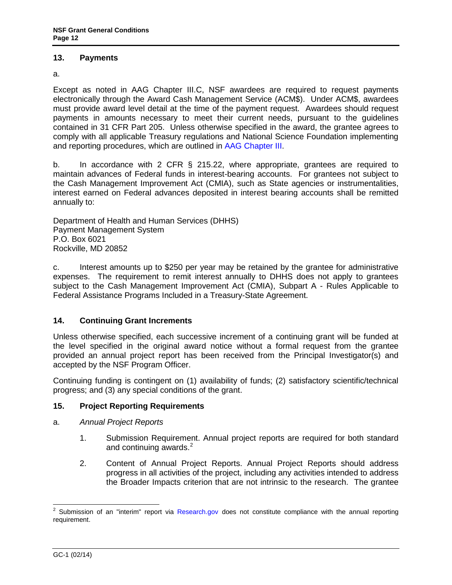### <span id="page-11-0"></span>**13. Payments**

a.

Except as noted in AAG Chapter III.C, NSF awardees are required to request payments electronically through the Award Cash Management Service (ACM\$). Under ACM\$, awardees must provide award level detail at the time of the payment request. Awardees should request payments in amounts necessary to meet their current needs, pursuant to the guidelines contained in [31 CFR Part 205.](http://www.access.gpo.gov/nara/cfr/waisidx_06/31cfr205_06.html) Unless otherwise specified in the award, the grantee agrees to comply with all applicable Treasury regulations and National Science Foundation implementing and reporting procedures, which are outlined in [AAG Chapter III.](http://www.nsf.gov/pubs/policydocs/pappguide/nsf14001/aag_3.jsp)

b. In accordance with [2 CFR § 215.22,](http://www.access.gpo.gov/nara/cfr/waisidx_06/31cfr205_06.html) where appropriate, grantees are required to maintain advances of Federal funds in interest-bearing accounts. For grantees not subject to the Cash Management Improvement Act (CMIA), such as State agencies or instrumentalities, interest earned on Federal advances deposited in interest bearing accounts shall be remitted annually to:

Department of Health and Human Services (DHHS) Payment Management System P.O. Box 6021 Rockville, MD 20852

c. Interest amounts up to \$250 per year may be retained by the grantee for administrative expenses. The requirement to remit interest annually to DHHS does not apply to grantees subject to the Cash Management Improvement Act (CMIA), Subpart A - Rules Applicable to Federal Assistance Programs Included in a Treasury-State Agreement.

# **14. Continuing Grant Increments**

Unless otherwise specified, each successive increment of a continuing grant will be funded at the level specified in the original award notice without a formal request from the grantee provided an annual project report has been received from the Principal Investigator(s) and accepted by the NSF Program Officer.

Continuing funding is contingent on (1) availability of funds; (2) satisfactory scientific/technical progress; and (3) any special conditions of the grant.

# <span id="page-11-1"></span>**15. Project Reporting Requirements**

- <span id="page-11-2"></span>a. *Annual Project Reports*
	- 1. Submission Requirement. Annual project reports are required for both standard and continuing awards. $2$
	- 2. Content of Annual Project Reports. Annual Project Reports should address progress in all activities of the project, including any activities intended to address the Broader Impacts criterion that are not intrinsic to the research. The grantee

<span id="page-11-3"></span><sup>&</sup>lt;sup>2</sup> Submission of an "interim" report via [Research.gov](http://www.research.gov/) does not constitute compliance with the annual reporting requirement.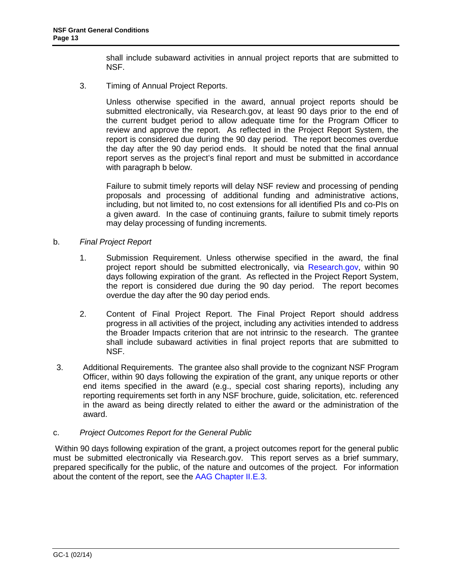shall include subaward activities in annual project reports that are submitted to NSF.

<span id="page-12-2"></span>3. Timing of Annual Project Reports.

Unless otherwise specified in the award, annual project reports should be submitted electronically, via Research.gov, at least 90 days prior to the end of the current budget period to allow adequate time for the Program Officer to review and approve the report. As reflected in the Project Report System, the report is considered due during the 90 day period. The report becomes overdue the day after the 90 day period ends. It should be noted that the final annual report serves as the project's final report and must be submitted in accordance with paragraph b below.

Failure to submit timely reports will delay NSF review and processing of pending proposals and processing of additional funding and administrative actions, including, but not limited to, no cost extensions for all identified PIs and co-PIs on a given award. In the case of continuing grants, failure to submit timely reports may delay processing of funding increments.

### <span id="page-12-0"></span>b. *Final Project Report*

- 1. Submission Requirement. Unless otherwise specified in the award, the final project report should be submitted electronically, via [Research.gov,](http://www.research.gov/) within 90 days following expiration of the grant. As reflected in the Project Report System, the report is considered due during the 90 day period. The report becomes overdue the day after the 90 day period ends.
- 2. Content of Final Project Report. The Final Project Report should address progress in all activities of the project, including any activities intended to address the Broader Impacts criterion that are not intrinsic to the research. The grantee shall include subaward activities in final project reports that are submitted to NSF.
- 3. Additional Requirements. The grantee also shall provide to the cognizant NSF Program Officer, within 90 days following the expiration of the grant, any unique reports or other end items specified in the award (e.g., special cost sharing reports), including any reporting requirements set forth in any NSF brochure, guide, solicitation, etc. referenced in the award as being directly related to either the award or the administration of the award.

#### c. *Project Outcomes Report for the General Public*

<span id="page-12-3"></span><span id="page-12-1"></span>Within 90 days following expiration of the grant, a project outcomes report for the general public must be submitted electronically via Research.gov. This report serves as a brief summary, prepared specifically for the public, of the nature and outcomes of the project. For information about the content of the report, see the [AAG Chapter II.E.3.](http://www.nsf.gov/pubs/policydocs/pappguide/nsf14001/aag_2.jsp#IIE)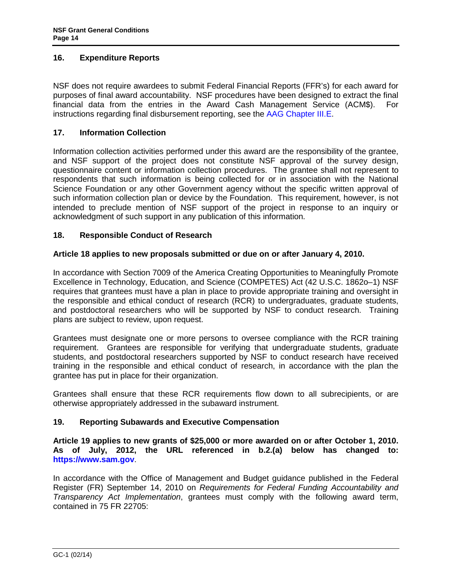### <span id="page-13-1"></span>**16. Expenditure Reports**

NSF does not require awardees to submit Federal Financial Reports (FFR's) for each award for purposes of final award accountability. NSF procedures have been designed to extract the final financial data from the entries in the Award Cash Management Service (ACM\$). For instructions regarding final disbursement reporting, see the [AAG Chapter III.E.](http://www.nsf.gov/pubs/policydocs/pappguide/nsf14001/aag_3.jsp#IIIE)

### <span id="page-13-0"></span>**17. Information Collection**

Information collection activities performed under this award are the responsibility of the grantee, and NSF support of the project does not constitute NSF approval of the survey design, questionnaire content or information collection procedures. The grantee shall not represent to respondents that such information is being collected for or in association with the National Science Foundation or any other Government agency without the specific written approval of such information collection plan or device by the Foundation. This requirement, however, is not intended to preclude mention of NSF support of the project in response to an inquiry or acknowledgment of such support in any publication of this information.

### **18. Responsible Conduct of Research**

### **Article 18 applies to new proposals submitted or due on or after January 4, 2010.**

In accordance with Section 7009 of the America Creating Opportunities to Meaningfully Promote Excellence in Technology, Education, and Science (COMPETES) Act (42 U.S.C. 1862o–1) NSF requires that grantees must have a plan in place to provide appropriate training and oversight in the responsible and ethical conduct of research (RCR) to undergraduates, graduate students, and postdoctoral researchers who will be supported by NSF to conduct research. Training plans are subject to review, upon request.

Grantees must designate one or more persons to oversee compliance with the RCR training requirement. Grantees are responsible for verifying that undergraduate students, graduate students, and postdoctoral researchers supported by NSF to conduct research have received training in the responsible and ethical conduct of research, in accordance with the plan the grantee has put in place for their organization.

Grantees shall ensure that these RCR requirements flow down to all subrecipients, or are otherwise appropriately addressed in the subaward instrument.

### **19. Reporting Subawards and Executive Compensation**

**Article 19 applies to new grants of \$25,000 or more awarded on or after October 1, 2010. As of July, 2012, the URL referenced in b.2.(a) below has changed to: [https://www.sam.gov](https://www.sam.gov/)**.

In accordance with the Office of Management and Budget guidance published in the Federal Register (FR) September 14, 2010 on *Requirements for Federal Funding Accountability and Transparency Act Implementation*, grantees must comply with the following award term, contained in 75 FR 22705: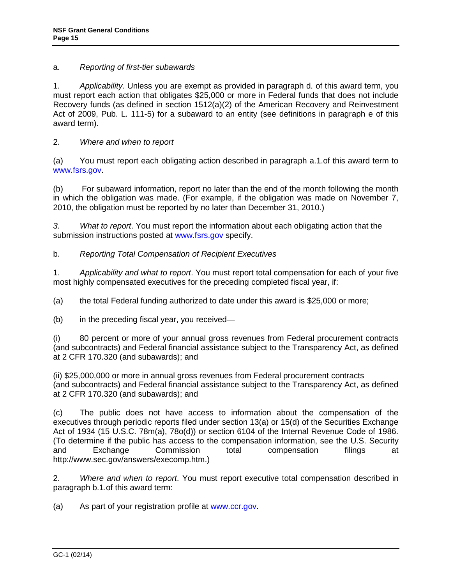### a. *Reporting of first-tier subawards*

1. *Applicability*. Unless you are exempt as provided in paragraph d. of this award term, you must report each action that obligates \$25,000 or more in Federal funds that does not include Recovery funds (as defined in section 1512(a)(2) of the American Recovery and Reinvestment Act of 2009, Pub. L. 111-5) for a subaward to an entity (see definitions in paragraph e of this award term).

# 2. *Where and when to report*

(a) You must report each obligating action described in paragraph a.1.of this award term to [www.fsrs.gov.](http://www.fsrs.gov/)

(b) For subaward information, report no later than the end of the month following the month in which the obligation was made. (For example, if the obligation was made on November 7, 2010, the obligation must be reported by no later than December 31, 2010.)

*3. What to report*. You must report the information about each obligating action that the submission instructions posted at [www.fsrs.gov](http://www.fsrs.gov/) specify.

# b. *Reporting Total Compensation of Recipient Executives*

1. *Applicability and what to report*. You must report total compensation for each of your five most highly compensated executives for the preceding completed fiscal year, if:

(a) the total Federal funding authorized to date under this award is \$25,000 or more;

(b) in the preceding fiscal year, you received—

(i) 80 percent or more of your annual gross revenues from Federal procurement contracts (and subcontracts) and Federal financial assistance subject to the Transparency Act, as defined at 2 CFR 170.320 (and subawards); and

(ii) \$25,000,000 or more in annual gross revenues from Federal procurement contracts (and subcontracts) and Federal financial assistance subject to the Transparency Act, as defined at 2 CFR 170.320 (and subawards); and

(c) The public does not have access to information about the compensation of the executives through periodic reports filed under section 13(a) or 15(d) of the Securities Exchange Act of 1934 (15 U.S.C. 78m(a), 78o(d)) or section 6104 of the Internal Revenue Code of 1986. (To determine if the public has access to the compensation information, see the U.S. Security and Exchange Commission total compensation filings at http://www.sec.gov/answers/execomp.htm.)

2. *Where and when to report*. You must report executive total compensation described in paragraph b.1.of this award term:

(a) As part of your registration profile at [www.ccr.gov.](http://www.ccr.gov/)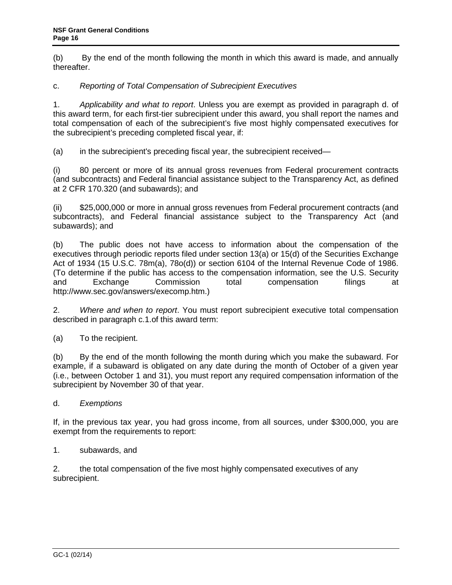(b) By the end of the month following the month in which this award is made, and annually thereafter.

# c. *Reporting of Total Compensation of Subrecipient Executives*

1. *Applicability and what to report*. Unless you are exempt as provided in paragraph d. of this award term, for each first-tier subrecipient under this award, you shall report the names and total compensation of each of the subrecipient's five most highly compensated executives for the subrecipient's preceding completed fiscal year, if:

(a) in the subrecipient's preceding fiscal year, the subrecipient received—

(i) 80 percent or more of its annual gross revenues from Federal procurement contracts (and subcontracts) and Federal financial assistance subject to the Transparency Act, as defined at 2 CFR 170.320 (and subawards); and

(ii) \$25,000,000 or more in annual gross revenues from Federal procurement contracts (and subcontracts), and Federal financial assistance subject to the Transparency Act (and subawards); and

(b) The public does not have access to information about the compensation of the executives through periodic reports filed under section 13(a) or 15(d) of the Securities Exchange Act of 1934 (15 U.S.C. 78m(a), 78o(d)) or section 6104 of the Internal Revenue Code of 1986. (To determine if the public has access to the compensation information, see the U.S. Security and Exchange Commission total compensation filings at http://www.sec.gov/answers/execomp.htm.)

2. *Where and when to report*. You must report subrecipient executive total compensation described in paragraph c.1.of this award term:

(a) To the recipient.

(b) By the end of the month following the month during which you make the subaward. For example, if a subaward is obligated on any date during the month of October of a given year (i.e., between October 1 and 31), you must report any required compensation information of the subrecipient by November 30 of that year.

d. *Exemptions*

If, in the previous tax year, you had gross income, from all sources, under \$300,000, you are exempt from the requirements to report:

1. subawards, and

2. the total compensation of the five most highly compensated executives of any subrecipient.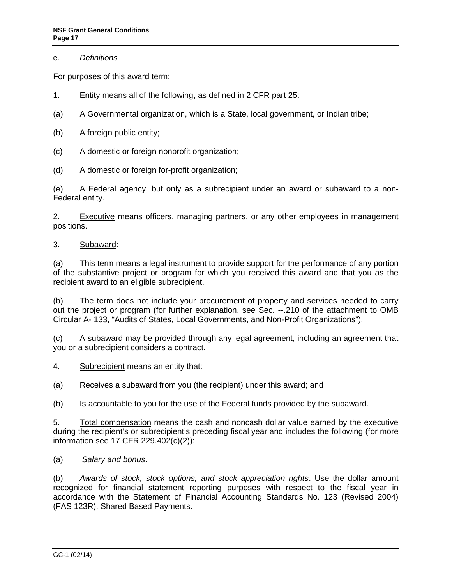### e. *Definitions*

For purposes of this award term:

- 1. Entity means all of the following, as defined in 2 CFR part 25:
- (a) A Governmental organization, which is a State, local government, or Indian tribe;
- (b) A foreign public entity;
- (c) A domestic or foreign nonprofit organization;
- (d) A domestic or foreign for-profit organization;

(e) A Federal agency, but only as a subrecipient under an award or subaward to a non-Federal entity.

2. Executive means officers, managing partners, or any other employees in management positions.

### 3. Subaward:

(a) This term means a legal instrument to provide support for the performance of any portion of the substantive project or program for which you received this award and that you as the recipient award to an eligible subrecipient.

(b) The term does not include your procurement of property and services needed to carry out the project or program (for further explanation, see Sec. --.210 of the attachment to OMB Circular A- 133, "Audits of States, Local Governments, and Non-Profit Organizations").

(c) A subaward may be provided through any legal agreement, including an agreement that you or a subrecipient considers a contract.

4. Subrecipient means an entity that:

(a) Receives a subaward from you (the recipient) under this award; and

(b) Is accountable to you for the use of the Federal funds provided by the subaward.

5. Total compensation means the cash and noncash dollar value earned by the executive during the recipient's or subrecipient's preceding fiscal year and includes the following (for more information see 17 CFR 229.402(c)(2)):

(a) *Salary and bonus*.

(b) *Awards of stock, stock options, and stock appreciation rights*. Use the dollar amount recognized for financial statement reporting purposes with respect to the fiscal year in accordance with the Statement of Financial Accounting Standards No. 123 (Revised 2004) (FAS 123R), Shared Based Payments.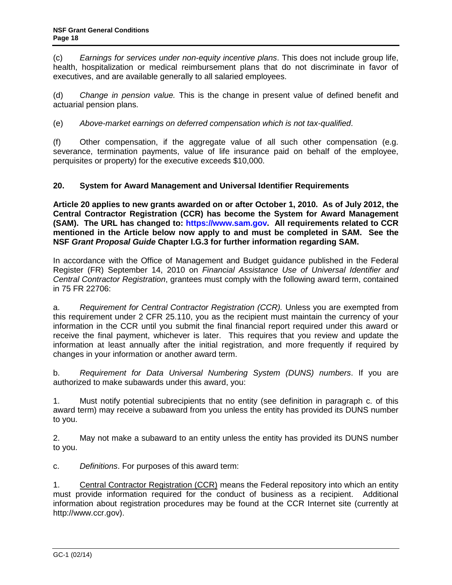<span id="page-17-0"></span>(c) *Earnings for services under non-equity incentive plans*. This does not include group life, health, hospitalization or medical reimbursement plans that do not discriminate in favor of executives, and are available generally to all salaried employees.

(d) *Change in pension value.* This is the change in present value of defined benefit and actuarial pension plans.

(e) *Above-market earnings on deferred compensation which is not tax-qualified*.

(f) Other compensation, if the aggregate value of all such other compensation (e.g. severance, termination payments, value of life insurance paid on behalf of the employee, perquisites or property) for the executive exceeds \$10,000.

# **20. System for Award Management and Universal Identifier Requirements**

**Article 20 applies to new grants awarded on or after October 1, 2010. As of July 2012, the Central Contractor Registration (CCR) has become the System for Award Management (SAM). The URL has changed to: [https://www.sam.gov.](https://www.sam.gov/) All requirements related to CCR mentioned in the Article below now apply to and must be completed in SAM. See the NSF** *Grant Proposal Guide* **Chapter I.G.3 for further information regarding SAM.**

In accordance with the Office of Management and Budget guidance published in the Federal Register (FR) September 14, 2010 on *Financial Assistance Use of Universal Identifier and Central Contractor Registration*, grantees must comply with the following award term, contained in 75 FR 22706:

a. *Requirement for Central Contractor Registration (CCR).* Unless you are exempted from this requirement under 2 CFR 25.110, you as the recipient must maintain the currency of your information in the CCR until you submit the final financial report required under this award or receive the final payment, whichever is later. This requires that you review and update the information at least annually after the initial registration, and more frequently if required by changes in your information or another award term.

b. *Requirement for Data Universal Numbering System (DUNS) numbers*. If you are authorized to make subawards under this award, you:

1. Must notify potential subrecipients that no entity (see definition in paragraph c. of this award term) may receive a subaward from you unless the entity has provided its DUNS number to you.

2. May not make a subaward to an entity unless the entity has provided its DUNS number to you.

c. *Definitions*. For purposes of this award term:

1. Central Contractor Registration (CCR) means the Federal repository into which an entity must provide information required for the conduct of business as a recipient. Additional information about registration procedures may be found at the CCR Internet site (currently at http://www.ccr.gov).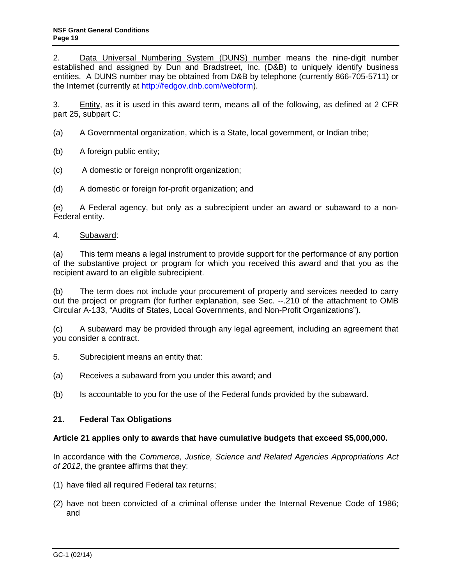<span id="page-18-0"></span>2. Data Universal Numbering System (DUNS) number means the nine-digit number established and assigned by Dun and Bradstreet, Inc. (D&B) to uniquely identify business entities. A DUNS number may be obtained from D&B by telephone (currently 866-705-5711) or the Internet (currently at [http://fedgov.dnb.com/webform\)](http://fedgov.dnb.com/webform).

3. Entity, as it is used in this award term, means all of the following, as defined at 2 CFR part 25, subpart C:

- (a) A Governmental organization, which is a State, local government, or Indian tribe;
- (b) A foreign public entity;
- (c) A domestic or foreign nonprofit organization;
- (d) A domestic or foreign for-profit organization; and

(e) A Federal agency, but only as a subrecipient under an award or subaward to a non-Federal entity.

### 4. Subaward:

(a) This term means a legal instrument to provide support for the performance of any portion of the substantive project or program for which you received this award and that you as the recipient award to an eligible subrecipient.

(b) The term does not include your procurement of property and services needed to carry out the project or program (for further explanation, see Sec. --.210 of the attachment to OMB Circular A-133, "Audits of States, Local Governments, and Non-Profit Organizations").

(c) A subaward may be provided through any legal agreement, including an agreement that you consider a contract.

- 5. Subrecipient means an entity that:
- (a) Receives a subaward from you under this award; and
- (b) Is accountable to you for the use of the Federal funds provided by the subaward.

# **21. Federal Tax Obligations**

#### **Article 21 applies only to awards that have cumulative budgets that exceed \$5,000,000.**

In accordance with the *Commerce, Justice, Science and Related Agencies Appropriations Act of 2012*, the grantee affirms that they:

- (1) have filed all required Federal tax returns;
- (2) have not been convicted of a criminal offense under the Internal Revenue Code of 1986; and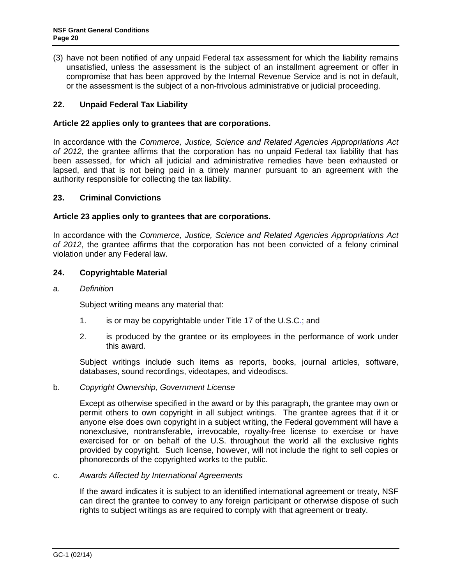<span id="page-19-1"></span>(3) have not been notified of any unpaid Federal tax assessment for which the liability remains unsatisfied, unless the assessment is the subject of an installment agreement or offer in compromise that has been approved by the Internal Revenue Service and is not in default, or the assessment is the subject of a non-frivolous administrative or judicial proceeding.

# **22. Unpaid Federal Tax Liability**

### **Article 22 applies only to grantees that are corporations.**

In accordance with the *Commerce, Justice, Science and Related Agencies Appropriations Act of 2012*, the grantee affirms that the corporation has no unpaid Federal tax liability that has been assessed, for which all judicial and administrative remedies have been exhausted or lapsed, and that is not being paid in a timely manner pursuant to an agreement with the authority responsible for collecting the tax liability.

### **23. Criminal Convictions**

#### **Article 23 applies only to grantees that are corporations.**

In accordance with the *Commerce, Justice, Science and Related Agencies Appropriations Act of 2012*, the grantee affirms that the corporation has not been convicted of a felony criminal violation under any Federal law.

### <span id="page-19-0"></span>**24. Copyrightable Material**

#### a. *Definition*

Subject writing means any material that:

- 1. is or may be copyrightable under [Title 17 of the U.S.C.](http://www.access.gpo.gov/uscode/title17/title17.html); and
- 2. is produced by the grantee or its employees in the performance of work under this award.

Subject writings include such items as reports, books, journal articles, software, databases, sound recordings, videotapes, and videodiscs.

#### b. *Copyright Ownership, Government License*

Except as otherwise specified in the award or by this paragraph, the grantee may own or permit others to own copyright in all subject writings. The grantee agrees that if it or anyone else does own copyright in a subject writing, the Federal government will have a nonexclusive, nontransferable, irrevocable, royalty-free license to exercise or have exercised for or on behalf of the U.S. throughout the world all the exclusive rights provided by copyright. Such license, however, will not include the right to sell copies or phonorecords of the copyrighted works to the public.

#### c. *Awards Affected by International Agreements*

If the award indicates it is subject to an identified international agreement or treaty, NSF can direct the grantee to convey to any foreign participant or otherwise dispose of such rights to subject writings as are required to comply with that agreement or treaty.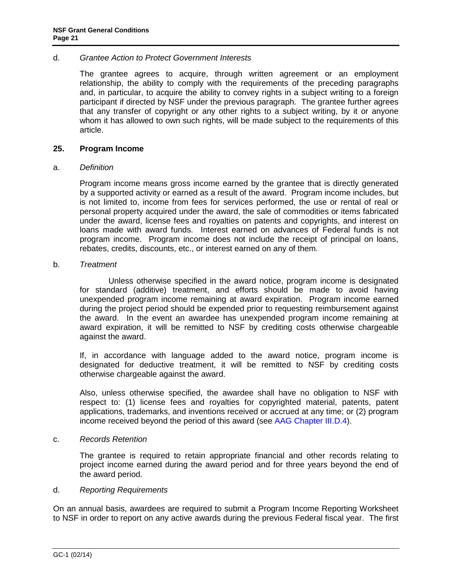#### d. *Grantee Action to Protect Government Interests*

The grantee agrees to acquire, through written agreement or an employment relationship, the ability to comply with the requirements of the preceding paragraphs and, in particular, to acquire the ability to convey rights in a subject writing to a foreign participant if directed by NSF under the previous paragraph. The grantee further agrees that any transfer of copyright or any other rights to a subject writing, by it or anyone whom it has allowed to own such rights, will be made subject to the requirements of this article.

#### <span id="page-20-0"></span>**25. Program Income**

#### a. *Definition*

Program income means gross income earned by the grantee that is directly generated by a supported activity or earned as a result of the award. Program income includes, but is not limited to, income from fees for services performed, the use or rental of real or personal property acquired under the award, the sale of commodities or items fabricated under the award, license fees and royalties on patents and copyrights, and interest on loans made with award funds. Interest earned on advances of Federal funds is not program income. Program income does not include the receipt of principal on loans, rebates, credits, discounts, etc., or interest earned on any of them.

#### b. *Treatment*

Unless otherwise specified in the award notice, program income is designated for standard (additive) treatment, and efforts should be made to avoid having unexpended program income remaining at award expiration. Program income earned during the project period should be expended prior to requesting reimbursement against the award. In the event an awardee has unexpended program income remaining at award expiration, it will be remitted to NSF by crediting costs otherwise chargeable against the award.

If, in accordance with language added to the award notice, program income is designated for deductive treatment, it will be remitted to NSF by crediting costs otherwise chargeable against the award.

Also, unless otherwise specified, the awardee shall have no obligation to NSF with respect to: (1) license fees and royalties for copyrighted material, patents, patent applications, trademarks, and inventions received or accrued at any time; or (2) program income received beyond the period of this award (see [AAG Chapter III.D.4\)](http://www.nsf.gov/pubs/policydocs/pappguide/nsf14001/aag_3.jsp#IIID4).

#### c. *Records Retention*

The grantee is required to retain appropriate financial and other records relating to project income earned during the award period and for three years beyond the end of the award period.

### d. *Reporting Requirements*

On an annual basis, awardees are required to submit a Program Income Reporting Worksheet to NSF in order to report on any active awards during the previous Federal fiscal year. The first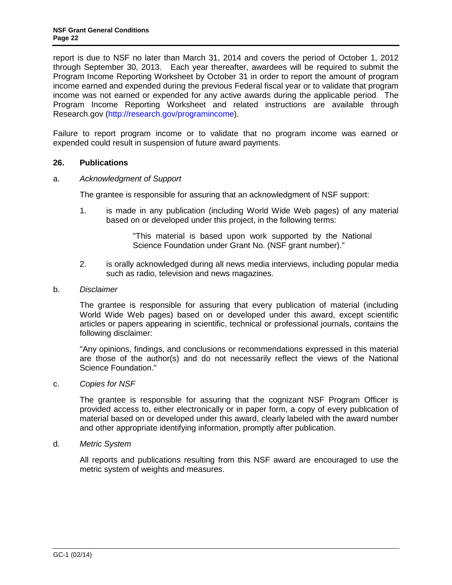report is due to NSF no later than March 31, 2014 and covers the period of October 1, 2012 through September 30, 2013. Each year thereafter, awardees will be required to submit the Program Income Reporting Worksheet by October 31 in order to report the amount of program income earned and expended during the previous Federal fiscal year or to validate that program income was not earned or expended for any active awards during the applicable period. The Program Income Reporting Worksheet and related instructions are available through Research.gov [\(http://research.gov/programincome\)](http://research.gov/programincome).

Failure to report program income or to validate that no program income was earned or expended could result in suspension of future award payments.

### <span id="page-21-0"></span>**26. Publications**

#### <span id="page-21-1"></span>a. *Acknowledgment of Support*

The grantee is responsible for assuring that an acknowledgment of NSF support:

1. is made in any publication (including World Wide Web pages) of any material based on or developed under this project, in the following terms:

> "This material is based upon work supported by the National Science Foundation under Grant No. (NSF grant number)."

2. is orally acknowledged during all news media interviews, including popular media such as radio, television and news magazines.

#### <span id="page-21-2"></span>b. *Disclaimer*

The grantee is responsible for assuring that every publication of material (including World Wide Web pages) based on or developed under this award, except scientific articles or papers appearing in scientific, technical or professional journals, contains the following disclaimer:

"Any opinions, findings, and conclusions or recommendations expressed in this material are those of the author(s) and do not necessarily reflect the views of the National Science Foundation."

<span id="page-21-3"></span>c. *Copies for NSF*

The grantee is responsible for assuring that the cognizant NSF Program Officer is provided access to, either electronically or in paper form, a copy of every publication of material based on or developed under this award, clearly labeled with the award number and other appropriate identifying information, promptly after publication.

<span id="page-21-4"></span>d. *Metric System*

All reports and publications resulting from this NSF award are encouraged to use the metric system of weights and measures.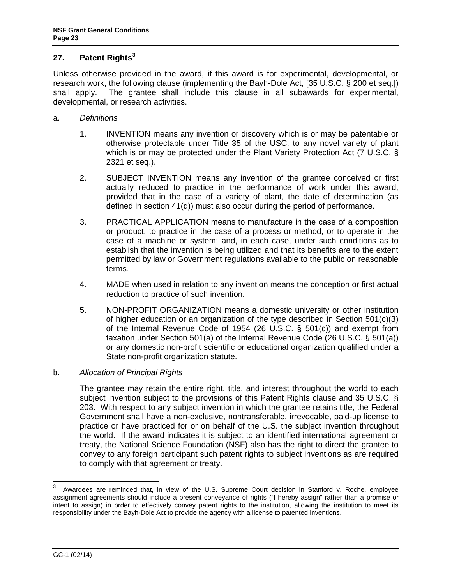# <span id="page-22-0"></span>**27. Patent Rights[3](#page-22-1)**

Unless otherwise provided in the award, if this award is for experimental, developmental, or research work, the following clause (implementing the Bayh-Dole Act, [\[35 U.S.C. § 200 et seq.](http://uscode.house.gov/download/pls/35T.txt)]) shall apply. The grantee shall include this clause in all subawards for experimental, developmental, or research activities.

- a. *Definitions*
	- 1. INVENTION means any invention or discovery which is or may be patentable or otherwise protectable under Title 35 of the USC, to any novel variety of plant which is or may be protected under the Plant Variety Protection Act [\(7 U.S.C. §](http://www.access.gpo.gov/uscode/title7/chapter57_.html)  [2321 et seq.](http://www.access.gpo.gov/uscode/title7/chapter57_.html)).
	- 2. SUBJECT INVENTION means any invention of the grantee conceived or first actually reduced to practice in the performance of work under this award, provided that in the case of a variety of plant, the date of determination (as defined in section 41(d)) must also occur during the period of performance.
	- 3. PRACTICAL APPLICATION means to manufacture in the case of a composition or product, to practice in the case of a process or method, or to operate in the case of a machine or system; and, in each case, under such conditions as to establish that the invention is being utilized and that its benefits are to the extent permitted by law or Government regulations available to the public on reasonable terms.
	- 4. MADE when used in relation to any invention means the conception or first actual reduction to practice of such invention.
	- 5. NON-PROFIT ORGANIZATION means a domestic university or other institution of higher education or an organization of the type described in Section 501(c)(3) of the Internal Revenue Code of 1954 [\(26 U.S.C. § 501\(c\)\)](http://frwebgate.access.gpo.gov/cgi-bin/getdoc.cgi?dbname=browse_usc&docid=Cite:+26USC501) and exempt from taxation under Section 501(a) of the Internal Revenue Code [\(26 U.S.C. § 501\(a\)\)](http://frwebgate.access.gpo.gov/cgi-bin/getdoc.cgi?dbname=browse_usc&docid=Cite:+26USC501) or any domestic non-profit scientific or educational organization qualified under a State non-profit organization statute.

# b. *Allocation of Principal Rights*

The grantee may retain the entire right, title, and interest throughout the world to each subject invention subject to the provisions of this Patent Rights clause and 35 U.S.C. § [203.](http://frwebgate.access.gpo.gov/cgi-bin/getdoc.cgi?dbname=browse_usc&docid=Cite:+35USC203) With respect to any subject invention in which the grantee retains title, the Federal Government shall have a non-exclusive, nontransferable, irrevocable, paid-up license to practice or have practiced for or on behalf of the U.S. the subject invention throughout the world. If the award indicates it is subject to an identified international agreement or treaty, the National Science Foundation (NSF) also has the right to direct the grantee to convey to any foreign participant such patent rights to subject inventions as are required to comply with that agreement or treaty.

<span id="page-22-1"></span><sup>&</sup>lt;sup>3</sup> Awardees are reminded that, in view of the U.S. Supreme Court decision in Stanford v. Roche, employee assignment agreements should include a present conveyance of rights ("I hereby assign" rather than a promise or intent to assign) in order to effectively convey patent rights to the institution, allowing the institution to meet its responsibility under the Bayh-Dole Act to provide the agency with a license to patented inventions.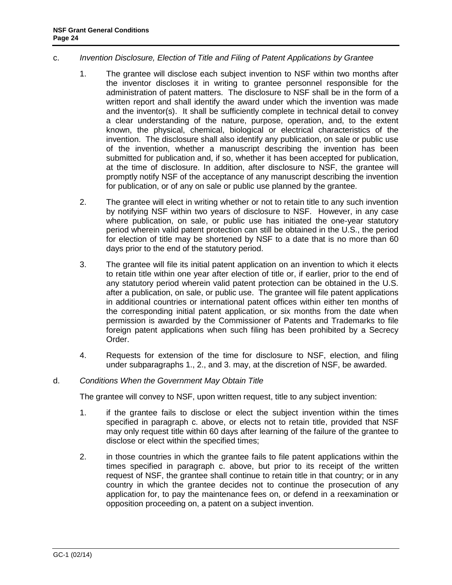#### c. *Invention Disclosure, Election of Title and Filing of Patent Applications by Grantee*

- 1. The grantee will disclose each subject invention to NSF within two months after the inventor discloses it in writing to grantee personnel responsible for the administration of patent matters. The disclosure to NSF shall be in the form of a written report and shall identify the award under which the invention was made and the inventor(s). It shall be sufficiently complete in technical detail to convey a clear understanding of the nature, purpose, operation, and, to the extent known, the physical, chemical, biological or electrical characteristics of the invention. The disclosure shall also identify any publication, on sale or public use of the invention, whether a manuscript describing the invention has been submitted for publication and, if so, whether it has been accepted for publication, at the time of disclosure. In addition, after disclosure to NSF, the grantee will promptly notify NSF of the acceptance of any manuscript describing the invention for publication, or of any on sale or public use planned by the grantee.
- 2. The grantee will elect in writing whether or not to retain title to any such invention by notifying NSF within two years of disclosure to NSF. However, in any case where publication, on sale, or public use has initiated the one-year statutory period wherein valid patent protection can still be obtained in the U.S., the period for election of title may be shortened by NSF to a date that is no more than 60 days prior to the end of the statutory period.
- 3. The grantee will file its initial patent application on an invention to which it elects to retain title within one year after election of title or, if earlier, prior to the end of any statutory period wherein valid patent protection can be obtained in the U.S. after a publication, on sale, or public use. The grantee will file patent applications in additional countries or international patent offices within either ten months of the corresponding initial patent application, or six months from the date when permission is awarded by the Commissioner of Patents and Trademarks to file foreign patent applications when such filing has been prohibited by a Secrecy Order.
- 4. Requests for extension of the time for disclosure to NSF, election, and filing under subparagraphs 1., 2., and 3. may, at the discretion of NSF, be awarded.

# d. *Conditions When the Government May Obtain Title*

The grantee will convey to NSF, upon written request, title to any subject invention:

- 1. if the grantee fails to disclose or elect the subject invention within the times specified in paragraph c. above, or elects not to retain title, provided that NSF may only request title within 60 days after learning of the failure of the grantee to disclose or elect within the specified times;
- 2. in those countries in which the grantee fails to file patent applications within the times specified in paragraph c. above, but prior to its receipt of the written request of NSF, the grantee shall continue to retain title in that country; or in any country in which the grantee decides not to continue the prosecution of any application for, to pay the maintenance fees on, or defend in a reexamination or opposition proceeding on, a patent on a subject invention.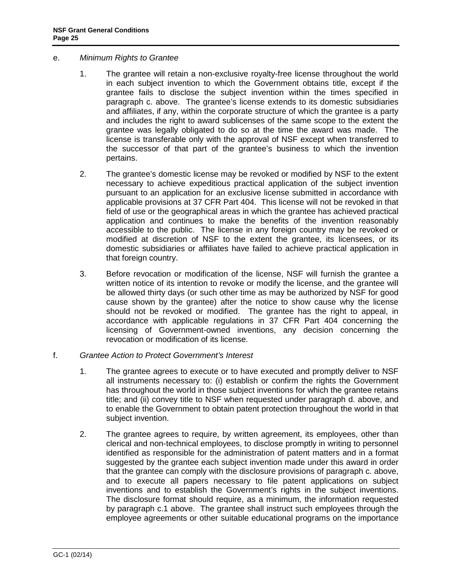- e. *Minimum Rights to Grantee*
	- 1. The grantee will retain a non-exclusive royalty-free license throughout the world in each subject invention to which the Government obtains title, except if the grantee fails to disclose the subject invention within the times specified in paragraph c. above. The grantee's license extends to its domestic subsidiaries and affiliates, if any, within the corporate structure of which the grantee is a party and includes the right to award sublicenses of the same scope to the extent the grantee was legally obligated to do so at the time the award was made. The license is transferable only with the approval of NSF except when transferred to the successor of that part of the grantee's business to which the invention pertains.
	- 2. The grantee's domestic license may be revoked or modified by NSF to the extent necessary to achieve expeditious practical application of the subject invention pursuant to an application for an exclusive license submitted in accordance with applicable provisions at [37 CFR Part 404.](http://www.access.gpo.gov/nara/cfr/waisidx_06/37cfr404_06.html) This license will not be revoked in that field of use or the geographical areas in which the grantee has achieved practical application and continues to make the benefits of the invention reasonably accessible to the public. The license in any foreign country may be revoked or modified at discretion of NSF to the extent the grantee, its licensees, or its domestic subsidiaries or affiliates have failed to achieve practical application in that foreign country.
	- 3. Before revocation or modification of the license, NSF will furnish the grantee a written notice of its intention to revoke or modify the license, and the grantee will be allowed thirty days (or such other time as may be authorized by NSF for good cause shown by the grantee) after the notice to show cause why the license should not be revoked or modified. The grantee has the right to appeal, in accordance with applicable regulations in [37 CFR Part 404](http://www.access.gpo.gov/nara/cfr/waisidx_06/37cfr404_06.html) concerning the licensing of Government-owned inventions, any decision concerning the revocation or modification of its license.
- f. *Grantee Action to Protect Government's Interest*
	- 1. The grantee agrees to execute or to have executed and promptly deliver to NSF all instruments necessary to: (i) establish or confirm the rights the Government has throughout the world in those subject inventions for which the grantee retains title; and (ii) convey title to NSF when requested under paragraph d. above, and to enable the Government to obtain patent protection throughout the world in that subject invention.
	- 2. The grantee agrees to require, by written agreement, its employees, other than clerical and non-technical employees, to disclose promptly in writing to personnel identified as responsible for the administration of patent matters and in a format suggested by the grantee each subject invention made under this award in order that the grantee can comply with the disclosure provisions of paragraph c. above, and to execute all papers necessary to file patent applications on subject inventions and to establish the Government's rights in the subject inventions. The disclosure format should require, as a minimum, the information requested by paragraph c.1 above. The grantee shall instruct such employees through the employee agreements or other suitable educational programs on the importance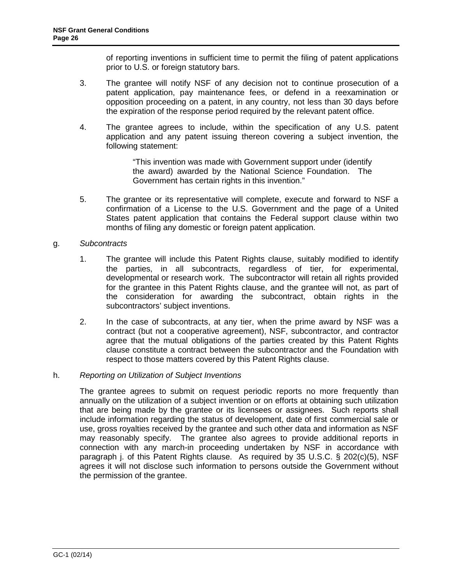of reporting inventions in sufficient time to permit the filing of patent applications prior to U.S. or foreign statutory bars.

- 3. The grantee will notify NSF of any decision not to continue prosecution of a patent application, pay maintenance fees, or defend in a reexamination or opposition proceeding on a patent, in any country, not less than 30 days before the expiration of the response period required by the relevant patent office.
- 4. The grantee agrees to include, within the specification of any U.S. patent application and any patent issuing thereon covering a subject invention, the following statement:

"This invention was made with Government support under (identify the award) awarded by the National Science Foundation. The Government has certain rights in this invention."

5. The grantee or its representative will complete, execute and forward to NSF a confirmation of a License to the U.S. Government and the page of a United States patent application that contains the Federal support clause within two months of filing any domestic or foreign patent application.

### g. *Subcontracts*

- 1. The grantee will include this Patent Rights clause, suitably modified to identify the parties, in all subcontracts, regardless of tier, for experimental, developmental or research work. The subcontractor will retain all rights provided for the grantee in this Patent Rights clause, and the grantee will not, as part of the consideration for awarding the subcontract, obtain rights in the subcontractors' subject inventions.
- 2. In the case of subcontracts, at any tier, when the prime award by NSF was a contract (but not a cooperative agreement), NSF, subcontractor, and contractor agree that the mutual obligations of the parties created by this Patent Rights clause constitute a contract between the subcontractor and the Foundation with respect to those matters covered by this Patent Rights clause.

#### h. *Reporting on Utilization of Subject Inventions*

The grantee agrees to submit on request periodic reports no more frequently than annually on the utilization of a subject invention or on efforts at obtaining such utilization that are being made by the grantee or its licensees or assignees. Such reports shall include information regarding the status of development, date of first commercial sale or use, gross royalties received by the grantee and such other data and information as NSF may reasonably specify. The grantee also agrees to provide additional reports in connection with any march-in proceeding undertaken by NSF in accordance with paragraph j. of this Patent Rights clause. As required by [35 U.S.C. § 202\(c\)\(5\),](http://frwebgate.access.gpo.gov/cgi-bin/getdoc.cgi?dbname=browse_usc&docid=Cite:+35USC202) NSF agrees it will not disclose such information to persons outside the Government without the permission of the grantee.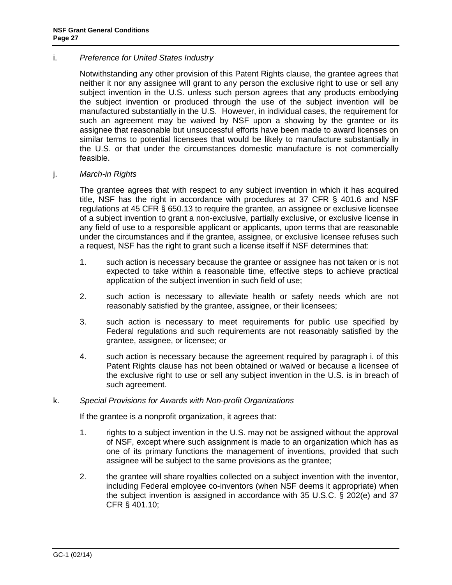#### i. *Preference for United States Industry*

Notwithstanding any other provision of this Patent Rights clause, the grantee agrees that neither it nor any assignee will grant to any person the exclusive right to use or sell any subject invention in the U.S. unless such person agrees that any products embodying the subject invention or produced through the use of the subject invention will be manufactured substantially in the U.S. However, in individual cases, the requirement for such an agreement may be waived by NSF upon a showing by the grantee or its assignee that reasonable but unsuccessful efforts have been made to award licenses on similar terms to potential licensees that would be likely to manufacture substantially in the U.S. or that under the circumstances domestic manufacture is not commercially feasible.

#### j. *March-in Rights*

The grantee agrees that with respect to any subject invention in which it has acquired title, NSF has the right in accordance with procedures at [37 CFR § 401.6](http://a257.g.akamaitech.net/7/257/2422/13nov20061500/edocket.access.gpo.gov/cfr_2006/julqtr/pdf/37cfr401.6.pdf) and NSF regulations at [45 CFR § 650.13](http://a257.g.akamaitech.net/7/257/2422/13nov20061500/edocket.access.gpo.gov/cfr_2006/octqtr/pdf/45cfr650.13.pdf) to require the grantee, an assignee or exclusive licensee of a subject invention to grant a non-exclusive, partially exclusive, or exclusive license in any field of use to a responsible applicant or applicants, upon terms that are reasonable under the circumstances and if the grantee, assignee, or exclusive licensee refuses such a request, NSF has the right to grant such a license itself if NSF determines that:

- 1. such action is necessary because the grantee or assignee has not taken or is not expected to take within a reasonable time, effective steps to achieve practical application of the subject invention in such field of use;
- 2. such action is necessary to alleviate health or safety needs which are not reasonably satisfied by the grantee, assignee, or their licensees;
- 3. such action is necessary to meet requirements for public use specified by Federal regulations and such requirements are not reasonably satisfied by the grantee, assignee, or licensee; or
- 4. such action is necessary because the agreement required by paragraph i. of this Patent Rights clause has not been obtained or waived or because a licensee of the exclusive right to use or sell any subject invention in the U.S. is in breach of such agreement.

#### k. *Special Provisions for Awards with Non-profit Organizations*

If the grantee is a nonprofit organization, it agrees that:

- 1. rights to a subject invention in the U.S. may not be assigned without the approval of NSF, except where such assignment is made to an organization which has as one of its primary functions the management of inventions, provided that such assignee will be subject to the same provisions as the grantee;
- 2. the grantee will share royalties collected on a subject invention with the inventor, including Federal employee co-inventors (when NSF deems it appropriate) when the subject invention is assigned in accordance with [35 U.S.C. § 202\(e\)](http://frwebgate.access.gpo.gov/cgi-bin/getdoc.cgi?dbname=browse_usc&docid=Cite:+35USC202) and [37](http://a257.g.akamaitech.net/7/257/2422/13nov20061500/edocket.access.gpo.gov/cfr_2006/julqtr/pdf/37cfr401.10.pdf)  [CFR § 401.10;](http://a257.g.akamaitech.net/7/257/2422/13nov20061500/edocket.access.gpo.gov/cfr_2006/julqtr/pdf/37cfr401.10.pdf)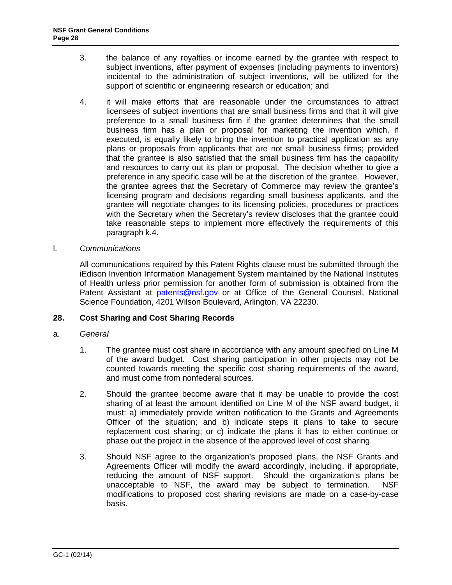- 3. the balance of any royalties or income earned by the grantee with respect to subject inventions, after payment of expenses (including payments to inventors) incidental to the administration of subject inventions, will be utilized for the support of scientific or engineering research or education; and
- 4. it will make efforts that are reasonable under the circumstances to attract licensees of subject inventions that are small business firms and that it will give preference to a small business firm if the grantee determines that the small business firm has a plan or proposal for marketing the invention which, if executed, is equally likely to bring the invention to practical application as any plans or proposals from applicants that are not small business firms; provided that the grantee is also satisfied that the small business firm has the capability and resources to carry out its plan or proposal. The decision whether to give a preference in any specific case will be at the discretion of the grantee. However, the grantee agrees that the Secretary of Commerce may review the grantee's licensing program and decisions regarding small business applicants, and the grantee will negotiate changes to its licensing policies, procedures or practices with the Secretary when the Secretary's review discloses that the grantee could take reasonable steps to implement more effectively the requirements of this paragraph k.4.
- l. *Communications*

All communications required by this Patent Rights clause must be submitted through the iEdison Invention Information Management System maintained by the National Institutes of Health unless prior permission for another form of submission is obtained from the Patent Assistant at [patents@nsf.gov](mailto:patents@nsf.gov) or at Office of the General Counsel, National Science Foundation, 4201 Wilson Boulevard, Arlington, VA 22230.

#### <span id="page-27-0"></span>**28. Cost Sharing and Cost Sharing Records**

- a. *General*
	- 1. The grantee must cost share in accordance with any amount specified on Line M of the award budget. Cost sharing participation in other projects may not be counted towards meeting the specific cost sharing requirements of the award, and must come from nonfederal sources.
	- 2. Should the grantee become aware that it may be unable to provide the cost sharing of at least the amount identified on Line M of the NSF award budget, it must: a) immediately provide written notification to the Grants and Agreements Officer of the situation; and b) indicate steps it plans to take to secure replacement cost sharing; or c) indicate the plans it has to either continue or phase out the project in the absence of the approved level of cost sharing.
	- 3. Should NSF agree to the organization's proposed plans, the NSF Grants and Agreements Officer will modify the award accordingly, including, if appropriate, reducing the amount of NSF support. Should the organization's plans be unacceptable to NSF, the award may be subject to termination. NSF modifications to proposed cost sharing revisions are made on a case-by-case basis.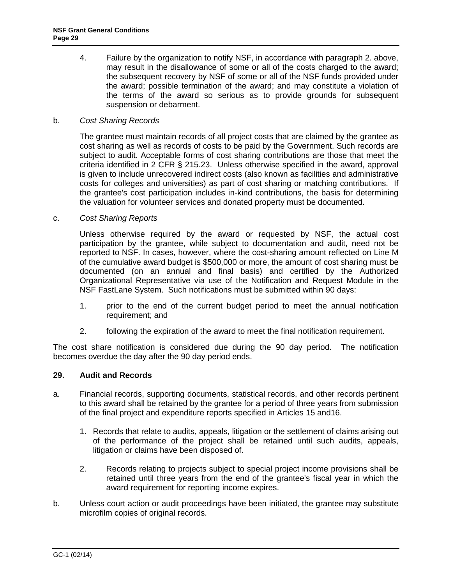4. Failure by the organization to notify NSF, in accordance with paragraph 2. above, may result in the disallowance of some or all of the costs charged to the award; the subsequent recovery by NSF of some or all of the NSF funds provided under the award; possible termination of the award; and may constitute a violation of the terms of the award so serious as to provide grounds for subsequent suspension or debarment.

### b. *Cost Sharing Records*

The grantee must maintain records of all project costs that are claimed by the grantee as cost sharing as well as records of costs to be paid by the Government. Such records are subject to audit. Acceptable forms of cost sharing contributions are those that meet the criteria identified in [2 CFR § 215.23.](http://a257.g.akamaitech.net/7/257/2422/15mar20071500/edocket.access.gpo.gov/cfr_2007/janqtr/pdf/2cfr215.23.pdf) Unless otherwise specified in the award, approval is given to include unrecovered indirect costs (also known as facilities and administrative costs for colleges and universities) as part of cost sharing or matching contributions. If the grantee's cost participation includes in-kind contributions, the basis for determining the valuation for volunteer services and donated property must be documented.

#### c. *Cost Sharing Reports*

Unless otherwise required by the award or requested by NSF, the actual cost participation by the grantee, while subject to documentation and audit, need not be reported to NSF. In cases, however, where the cost-sharing amount reflected on Line M of the cumulative award budget is \$500,000 or more, the amount of cost sharing must be documented (on an annual and final basis) and certified by the Authorized Organizational Representative via use of the Notification and Request Module in the NSF FastLane System. Such notifications must be submitted within 90 days:

- 1. prior to the end of the current budget period to meet the annual notification requirement; and
- 2. following the expiration of the award to meet the final notification requirement.

The cost share notification is considered due during the 90 day period. The notification becomes overdue the day after the 90 day period ends.

# <span id="page-28-0"></span>**29. Audit and Records**

- a. Financial records, supporting documents, statistical records, and other records pertinent to this award shall be retained by the grantee for a period of three years from submission of the final project and expenditure reports specified in [Articles 15](#page-11-1) an[d16](#page-12-3).
	- 1. Records that relate to audits, appeals, litigation or the settlement of claims arising out of the performance of the project shall be retained until such audits, appeals, litigation or claims have been disposed of.
	- 2. Records relating to projects subject to special project income provisions shall be retained until three years from the end of the grantee's fiscal year in which the award requirement for reporting income expires.
- b. Unless court action or audit proceedings have been initiated, the grantee may substitute microfilm copies of original records.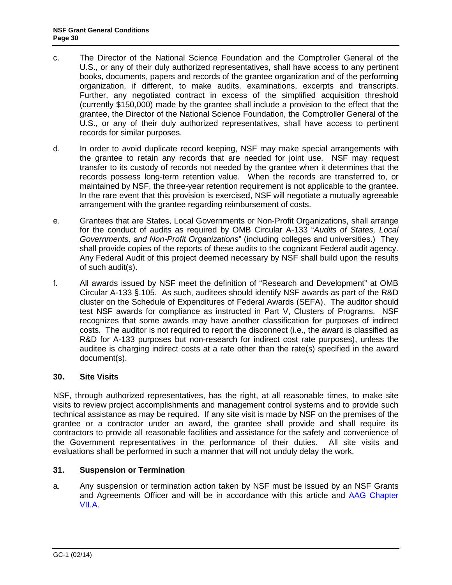- c. The Director of the National Science Foundation and the Comptroller General of the U.S., or any of their duly authorized representatives, shall have access to any pertinent books, documents, papers and records of the grantee organization and of the performing organization, if different, to make audits, examinations, excerpts and transcripts. Further, any negotiated contract in excess of the simplified acquisition threshold (currently \$150,000) made by the grantee shall include a provision to the effect that the grantee, the Director of the National Science Foundation, the Comptroller General of the U.S., or any of their duly authorized representatives, shall have access to pertinent records for similar purposes.
- d. In order to avoid duplicate record keeping, NSF may make special arrangements with the grantee to retain any records that are needed for joint use. NSF may request transfer to its custody of records not needed by the grantee when it determines that the records possess long-term retention value. When the records are transferred to, or maintained by NSF, the three-year retention requirement is not applicable to the grantee. In the rare event that this provision is exercised, NSF will negotiate a mutually agreeable arrangement with the grantee regarding reimbursement of costs.
- e. Grantees that are States, Local Governments or Non-Profit Organizations, shall arrange for the conduct of audits as required by [OMB Circular A-133](http://www.whitehouse.gov/omb/circulars/a133/a133.html) "*Audits of States, Local Governments, and Non-Profit Organizations*" (including colleges and universities.) They shall provide copies of the reports of these audits to the cognizant Federal audit agency. Any Federal Audit of this project deemed necessary by NSF shall build upon the results of such audit(s).
- f. All awards issued by NSF meet the definition of "Research and Development" at OMB Circular A-133 §.105. As such, auditees should identify NSF awards as part of the R&D cluster on the Schedule of Expenditures of Federal Awards (SEFA). The auditor should test NSF awards for compliance as instructed in Part V, Clusters of Programs. NSF recognizes that some awards may have another classification for purposes of indirect costs. The auditor is not required to report the disconnect (i.e., the award is classified as R&D for A-133 purposes but non-research for indirect cost rate purposes), unless the auditee is charging indirect costs at a rate other than the rate(s) specified in the award document(s).

# <span id="page-29-0"></span>**30. Site Visits**

NSF, through authorized representatives, has the right, at all reasonable times, to make site visits to review project accomplishments and management control systems and to provide such technical assistance as may be required. If any site visit is made by NSF on the premises of the grantee or a contractor under an award, the grantee shall provide and shall require its contractors to provide all reasonable facilities and assistance for the safety and convenience of the Government representatives in the performance of their duties. All site visits and evaluations shall be performed in such a manner that will not unduly delay the work.

# <span id="page-29-1"></span>**31. Suspension or Termination**

a. Any suspension or termination action taken by NSF must be issued by an NSF Grants and Agreements Officer and will be in accordance with this article and AAG Chapter [VII.A.](http://www.nsf.gov/pubs/policydocs/pappguide/nsf14001/aag_7.jsp#VIIA)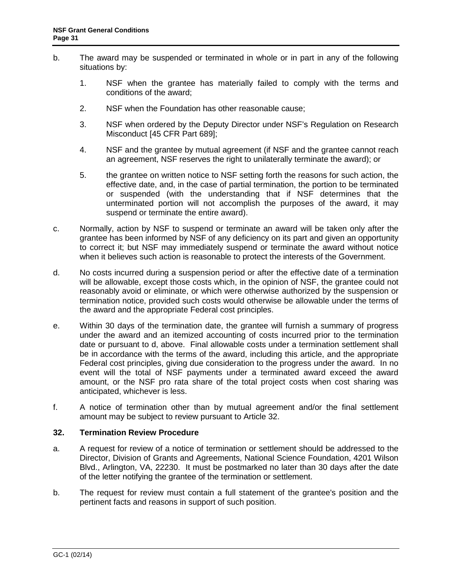- b. The award may be suspended or terminated in whole or in part in any of the following situations by:
	- 1. NSF when the grantee has materially failed to comply with the terms and conditions of the award;
	- 2. NSF when the Foundation has other reasonable cause;
	- 3. NSF when ordered by the Deputy Director under NSF's Regulation on Research Misconduct [\[45 CFR Part 689\]](http://www.access.gpo.gov/nara/cfr/waisidx_06/45cfr689_06.html);
	- 4. NSF and the grantee by mutual agreement (if NSF and the grantee cannot reach an agreement, NSF reserves the right to unilaterally terminate the award); or
	- 5. the grantee on written notice to NSF setting forth the reasons for such action, the effective date, and, in the case of partial termination, the portion to be terminated or suspended (with the understanding that if NSF determines that the unterminated portion will not accomplish the purposes of the award, it may suspend or terminate the entire award).
- c. Normally, action by NSF to suspend or terminate an award will be taken only after the grantee has been informed by NSF of any deficiency on its part and given an opportunity to correct it; but NSF may immediately suspend or terminate the award without notice when it believes such action is reasonable to protect the interests of the Government.
- d. No costs incurred during a suspension period or after the effective date of a termination will be allowable, except those costs which, in the opinion of NSF, the grantee could not reasonably avoid or eliminate, or which were otherwise authorized by the suspension or termination notice, provided such costs would otherwise be allowable under the terms of the award and the appropriate Federal cost principles.
- e. Within 30 days of the termination date, the grantee will furnish a summary of progress under the award and an itemized accounting of costs incurred prior to the termination date or pursuant to d, above. Final allowable costs under a termination settlement shall be in accordance with the terms of the award, including this article, and the appropriate Federal cost principles, giving due consideration to the progress under the award. In no event will the total of NSF payments under a terminated award exceed the award amount, or the NSF pro rata share of the total project costs when cost sharing was anticipated, whichever is less.
- f. A notice of termination other than by mutual agreement and/or the final settlement amount may be subject to review pursuant to [Article 3](#page-30-0)2.

#### <span id="page-30-0"></span>**32. Termination Review Procedure**

- a. A request for review of a notice of termination or settlement should be addressed to the Director, Division of Grants and Agreements, National Science Foundation, 4201 Wilson Blvd., Arlington, VA, 22230. It must be postmarked no later than 30 days after the date of the letter notifying the grantee of the termination or settlement.
- b. The request for review must contain a full statement of the grantee's position and the pertinent facts and reasons in support of such position.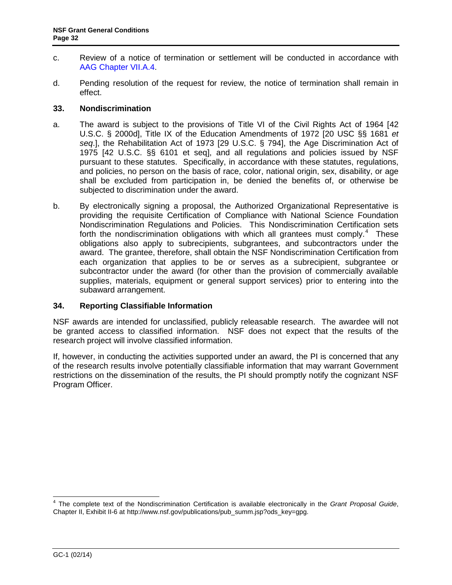- c. Review of a notice of termination or settlement will be conducted in accordance with [AAG Chapter VII.A.4.](http://www.nsf.gov/pubs/policydocs/pappguide/nsf14001/aag_7.jsp#VIIA4)
- d. Pending resolution of the request for review, the notice of termination shall remain in effect.

### <span id="page-31-0"></span>**33. Nondiscrimination**

- a. The award is subject to the provisions of Title VI of the Civil Rights Act of 1964 [\[42](http://frwebgate.access.gpo.gov/cgi-bin/getdoc.cgi?dbname=browse_usc&docid=Cite:+42USC2000d)  [U.S.C. § 2000d\]](http://frwebgate.access.gpo.gov/cgi-bin/getdoc.cgi?dbname=browse_usc&docid=Cite:+42USC2000d), Title IX of the Education Amendments of 1972 [20 USC §§ 1681 *et seq*.], the Rehabilitation Act of 1973 [\[29 U.S.C. § 794\]](http://frwebgate.access.gpo.gov/cgi-bin/getdoc.cgi?dbname=browse_usc&docid=Cite:+29USC794), the Age Discrimination Act of 1975 [\[42 U.S.C. §§ 6101 et seq\]](http://www.access.gpo.gov/uscode/title42/chapter76_.html), and all regulations and policies issued by NSF pursuant to these statutes. Specifically, in accordance with these statutes, regulations, and policies, no person on the basis of race, color, national origin, sex, disability, or age shall be excluded from participation in, be denied the benefits of, or otherwise be subjected to discrimination under the award.
- b. By electronically signing a proposal, the Authorized Organizational Representative is providing the requisite Certification of Compliance with National Science Foundation Nondiscrimination Regulations and Policies. This Nondiscrimination Certification sets forth the nondiscrimination obligations with which all grantees must comply.<sup>[4](#page-31-3)</sup> These obligations also apply to subrecipients, subgrantees, and subcontractors under the award. The grantee, therefore, shall obtain the NSF Nondiscrimination Certification from each organization that applies to be or serves as a subrecipient, subgrantee or subcontractor under the award (for other than the provision of commercially available supplies, materials, equipment or general support services) prior to entering into the subaward arrangement.

#### <span id="page-31-1"></span>**34. Reporting Classifiable Information**

NSF awards are intended for unclassified, publicly releasable research. The awardee will not be granted access to classified information. NSF does not expect that the results of the research project will involve classified information.

<span id="page-31-2"></span>If, however, in conducting the activities supported under an award, the PI is concerned that any of the research results involve potentially classifiable information that may warrant Government restrictions on the dissemination of the results, the PI should promptly notify the cognizant NSF Program Officer.

<span id="page-31-3"></span> <sup>4</sup> The complete text of the Nondiscrimination Certification is available electronically in the *Grant Proposal Guide*, Chapter II, Exhibit II-6 at http://www.nsf.gov/publications/pub\_summ.jsp?ods\_key=gpg.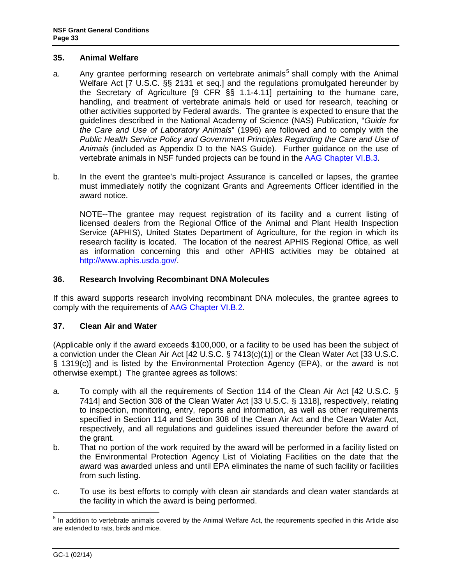### **35. Animal Welfare**

- a. Any grantee performing research on vertebrate animals<sup>[5](#page-32-2)</sup> shall comply with the Animal Welfare Act [\[7 U.S.C. §§ 2131 et seq.](http://www.access.gpo.gov/uscode/title7/chapter54_.html)] and the regulations promulgated hereunder by the Secretary of Agriculture [\[9 CFR §§ 1.1-4.11\]](http://www.access.gpo.gov/nara/cfr/waisidx_07/9cfrv1_07.html) pertaining to the humane care, handling, and treatment of vertebrate animals held or used for research, teaching or other activities supported by Federal awards. The grantee is expected to ensure that the guidelines described in the National Academy of Science (NAS) Publication, "*[Guide for](http://www.nap.edu/readingroom/books/labrats/)  [the Care and Use of Laboratory Animals](http://www.nap.edu/readingroom/books/labrats/)*" (1996) are followed and to comply with the *Public Health Service Policy and Government Principles Regarding the Care and Use of Animals* (included as Appendix D to the NAS Guide). Further guidance on the use of vertebrate animals in NSF funded projects can be found in the [AAG Chapter VI.B.3.](http://www.nsf.gov/pubs/policydocs/pappguide/nsf14001/aag_6.jsp#VIB3)
- b. In the event the grantee's multi-project Assurance is cancelled or lapses, the grantee must immediately notify the cognizant Grants and Agreements Officer identified in the award notice.

NOTE--The grantee may request registration of its facility and a current listing of licensed dealers from the Regional Office of the Animal and Plant Health Inspection Service (APHIS), United States Department of Agriculture, for the region in which its research facility is located. The location of the nearest APHIS Regional Office, as well as information concerning this and other APHIS activities may be obtained at [http://www.aphis.usda.gov/.](http://www.aphis.usda.gov/)

# <span id="page-32-0"></span>**36. Research Involving Recombinant DNA Molecules**

If this award supports research involving recombinant DNA molecules, the grantee agrees to comply with the requirements of [AAG Chapter VI.B.2.](http://www.nsf.gov/pubs/policydocs/pappguide/nsf14001/aag_6.jsp#VIB2)

# <span id="page-32-1"></span>**37. Clean Air and Water**

(Applicable only if the award exceeds \$100,000, or a facility to be used has been the subject of a conviction under the Clean Air Act [\[42 U.S.C. § 7413\(c\)\(1\)\]](http://frwebgate.access.gpo.gov/cgi-bin/getdoc.cgi?dbname=browse_usc&docid=Cite:+42USC7413) or the Clean Water Act [\[33 U.S.C.](http://frwebgate.access.gpo.gov/cgi-bin/getdoc.cgi?dbname=browse_usc&docid=Cite:+33USC1319)  [§ 1319\(c\)](http://frwebgate.access.gpo.gov/cgi-bin/getdoc.cgi?dbname=browse_usc&docid=Cite:+33USC1319)] and is listed by the Environmental Protection Agency (EPA), or the award is not otherwise exempt.) The grantee agrees as follows:

- a. To comply with all the requirements of Section 114 of the Clean Air Act [\[42 U.S.C. §](http://frwebgate.access.gpo.gov/cgi-bin/getdoc.cgi?dbname=browse_usc&docid=Cite:+42USC7414)  [7414\]](http://frwebgate.access.gpo.gov/cgi-bin/getdoc.cgi?dbname=browse_usc&docid=Cite:+42USC7414) and Section 308 of the Clean Water Act [\[33 U.S.C. § 1318\]](http://frwebgate.access.gpo.gov/cgi-bin/getdoc.cgi?dbname=browse_usc&docid=Cite:+33USC1318), respectively, relating to inspection, monitoring, entry, reports and information, as well as other requirements specified in Section 114 and Section 308 of the Clean Air Act and the Clean Water Act, respectively, and all regulations and guidelines issued thereunder before the award of the grant.
- b. That no portion of the work required by the award will be performed in a facility listed on the Environmental Protection Agency List of Violating Facilities on the date that the award was awarded unless and until EPA eliminates the name of such facility or facilities from such listing.
- c. To use its best efforts to comply with clean air standards and clean water standards at the facility in which the award is being performed.

<span id="page-32-2"></span><sup>&</sup>lt;sup>5</sup> In addition to vertebrate animals covered by the Animal Welfare Act, the requirements specified in this Article also are extended to rats, birds and mice.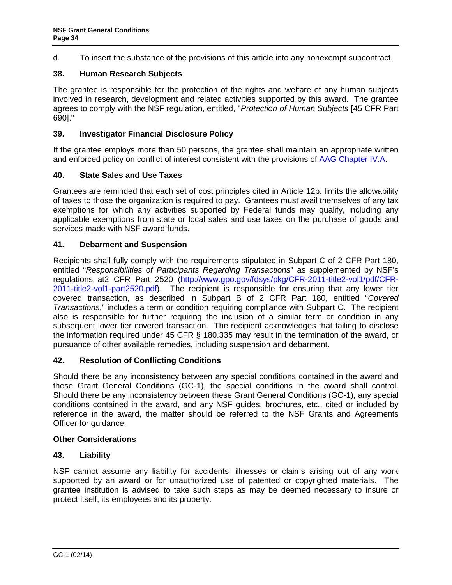d. To insert the substance of the provisions of this article into any nonexempt subcontract.

# <span id="page-33-0"></span>**38. Human Research Subjects**

The grantee is responsible for the protection of the rights and welfare of any human subjects involved in research, development and related activities supported by this award. The grantee agrees to comply with the NSF regulation, entitled, "*Protection of Human Subjects* [\[45 CFR Part](http://www.access.gpo.gov/nara/cfr/waisidx_06/45cfr690_06.html)  [690\].](http://www.access.gpo.gov/nara/cfr/waisidx_06/45cfr690_06.html)"

### <span id="page-33-1"></span>**39. Investigator Financial Disclosure Policy**

If the grantee employs more than 50 persons, the grantee shall maintain an appropriate written and enforced policy on conflict of interest consistent with the provisions of [AAG Chapter IV.A.](http://www.nsf.gov/pubs/policydocs/pappguide/nsf14001/aag_4.jsp#IVA)

### <span id="page-33-2"></span>**40. State Sales and Use Taxes**

Grantees are reminded that each set of cost principles cited in [Article 12b.](#page-10-2) limits the allowability of taxes to those the organization is required to pay. Grantees must avail themselves of any tax exemptions for which any activities supported by Federal funds may qualify, including any applicable exemptions from state or local sales and use taxes on the purchase of goods and services made with NSF award funds.

### <span id="page-33-3"></span>**41. Debarment and Suspension**

Recipients shall fully comply with the requirements stipulated in [Subpart C of 2 CFR Part 180,](http://www.whitehouse.gov/omb/fedreg/2005/083105_debarment.pdf) entitled "*Responsibilities of Participants Regarding Transactions*" as supplemented by NSF's regulations at2 CFR Part 2520 [\(http://www.gpo.gov/fdsys/pkg/CFR-2011-title2-vol1/pdf/CFR-](http://www.gpo.gov/fdsys/pkg/CFR-2011-title2-vol1/pdf/CFR-2011-title2-vol1-part2520.pdf)[2011-title2-vol1-part2520.pdf\)](http://www.gpo.gov/fdsys/pkg/CFR-2011-title2-vol1/pdf/CFR-2011-title2-vol1-part2520.pdf). The recipient is responsible for ensuring that any lower tier covered transaction, as described in [Subpart B of 2 CFR Part 180,](http://www.whitehouse.gov/omb/fedreg/2005/083105_debarment.pdf) entitled "*Covered Transactions*," includes a term or condition requiring compliance with Subpart C. The recipient also is responsible for further requiring the inclusion of a similar term or condition in any subsequent lower tier covered transaction. The recipient acknowledges that failing to disclose the information required under [45 CFR § 180.335](http://www.nsf.gov/oig/2_CFR_PART180.pdf) may result in the termination of the award, or pursuance of other available remedies, including suspension and debarment.

#### <span id="page-33-4"></span>**42. Resolution of Conflicting Conditions**

Should there be any inconsistency between any special conditions contained in the award and these Grant General Conditions (GC-1), the special conditions in the award shall control. Should there be any inconsistency between these Grant General Conditions (GC-1), any special conditions contained in the award, and any NSF guides, brochures, etc., cited or included by reference in the award, the matter should be referred to the NSF Grants and Agreements Officer for guidance.

#### <span id="page-33-5"></span>**Other Considerations**

#### <span id="page-33-6"></span>**43. Liability**

NSF cannot assume any liability for accidents, illnesses or claims arising out of any work supported by an award or for unauthorized use of patented or copyrighted materials. The grantee institution is advised to take such steps as may be deemed necessary to insure or protect itself, its employees and its property.